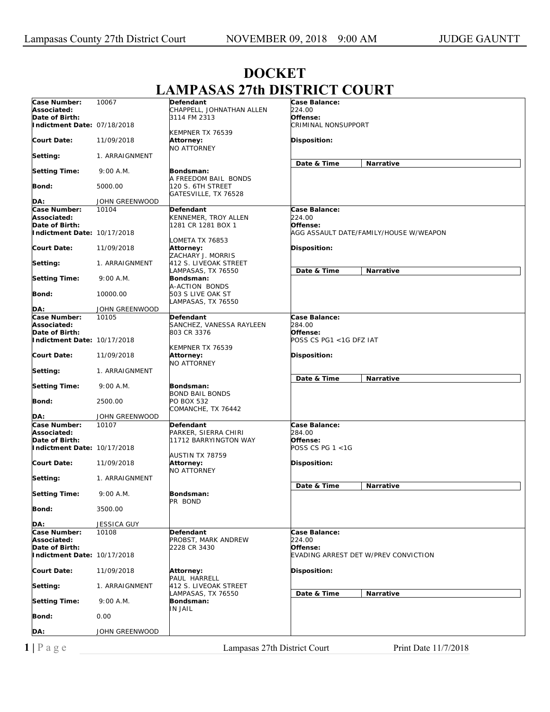| Case Number:<br>10067<br><b>Case Balance:</b><br>Defendant<br>Associated:<br>CHAPPELL, JOHNATHAN ALLEN<br>224.00<br>Date of Birth:<br>Offense:<br>3114 FM 2313<br><b>CRIMINAL NONSUPPORT</b><br>Indictment Date: 07/18/2018<br>KEMPNER TX 76539<br><b>Court Date:</b><br>Disposition:<br>11/09/2018<br>Attorney:<br><b>NO ATTORNEY</b><br>Setting:<br>1. ARRAIGNMENT<br>Date & Time<br>Narrative<br><b>Setting Time:</b><br>9:00 A.M.<br>Bondsman:<br>A FREEDOM BAIL BONDS<br>120 S. 6TH STREET<br>Bond:<br>5000.00<br>GATESVILLE, TX 76528<br>JOHN GREENWOOD<br>DA:<br>Case Number:<br>10104<br>Defendant<br>Case Balance:<br>224.00<br>Associated:<br>KENNEMER, TROY ALLEN<br>Date of Birth:<br>Offense:<br>1281 CR 1281 BOX 1<br>Indictment Date: 10/17/2018<br>AGG ASSAULT DATE/FAMILY/HOUSE W/WEAPON<br>LOMETA TX 76853<br><b>Court Date:</b><br>Disposition:<br>11/09/2018<br>Attorney:<br>ZACHARY J. MORRIS<br>412 S. LIVEOAK STREET<br>1. ARRAIGNMENT<br>Date & Time<br>Narrative<br>LAMPASAS, TX 76550<br><b>Setting Time:</b><br>9:00 A.M.<br>Bondsman:<br>A-ACTION BONDS<br>10000.00<br>503 S LIVE OAK ST<br>Bond:<br>LAMPASAS, TX 76550<br>JOHN GREENWOOD<br>DA:<br>Case Number:<br>10105<br>Case Balance:<br>Defendant<br>284.00<br>Associated:<br>SANCHEZ, VANESSA RAYLEEN<br>Date of Birth:<br>803 CR 3376<br>Offense:<br>Indictment Date: 10/17/2018<br>POSS CS PG1 <1G DFZ IAT<br>KEMPNER TX 76539<br><b>Court Date:</b><br>Disposition:<br>11/09/2018<br>Attorney:<br><b>NO ATTORNEY</b><br>1. ARRAIGNMENT<br>Date & Time<br>Narrative<br><b>Setting Time:</b><br>9:00 A.M.<br>Bondsman:<br><b>BOND BAIL BONDS</b><br>2500.00<br>Bond:<br>PO BOX 532<br>COMANCHE, TX 76442<br>DA:<br>JOHN GREENWOOD<br>Case Number:<br>10107<br>Defendant<br>Case Balance:<br>Associated:<br>284.00<br>PARKER, SIERRA CHIRI<br>Date of Birth:<br>11712 BARRYINGTON WAY<br>Offense:<br>POSS CS PG $1 < 1G$<br>Indictment Date: 10/17/2018<br>AUSTIN TX 78759<br><b>Court Date:</b><br>Disposition:<br>11/09/2018<br><b>Attorney:</b><br><b>NO ATTORNEY</b><br>Setting:<br>1. ARRAIGNMENT<br>Date & Time<br><b>Narrative</b><br><b>Setting Time:</b><br>9:00 A.M.<br>Bondsman:<br>PR BOND<br>Bond:<br>3500.00<br>DA:<br><b>JESSICA GUY</b><br>Case Number:<br>10108<br>Defendant<br>Case Balance:<br>PROBST, MARK ANDREW<br>224.00<br>Associated:<br>Date of Birth:<br>2228 CR 3430<br>Offense:<br>Indictment Date: 10/17/2018<br>EVADING ARREST DET W/PREV CONVICTION<br><b>Court Date:</b><br>11/09/2018<br>Disposition:<br><b>Attorney:</b><br>PAUL HARRELL<br>412 S. LIVEOAK STREET<br>Setting:<br>1. ARRAIGNMENT<br>LAMPASAS, TX 76550<br>Date & Time<br><b>Narrative</b><br><b>Setting Time:</b><br>9:00 A.M.<br>Bondsman:<br>IN JAIL<br>Bond:<br>0.00<br>JOHN GREENWOOD |          | <u>MILLIOLIO ETULDIOINICI</u> | $\mathbf{v}$ |
|--------------------------------------------------------------------------------------------------------------------------------------------------------------------------------------------------------------------------------------------------------------------------------------------------------------------------------------------------------------------------------------------------------------------------------------------------------------------------------------------------------------------------------------------------------------------------------------------------------------------------------------------------------------------------------------------------------------------------------------------------------------------------------------------------------------------------------------------------------------------------------------------------------------------------------------------------------------------------------------------------------------------------------------------------------------------------------------------------------------------------------------------------------------------------------------------------------------------------------------------------------------------------------------------------------------------------------------------------------------------------------------------------------------------------------------------------------------------------------------------------------------------------------------------------------------------------------------------------------------------------------------------------------------------------------------------------------------------------------------------------------------------------------------------------------------------------------------------------------------------------------------------------------------------------------------------------------------------------------------------------------------------------------------------------------------------------------------------------------------------------------------------------------------------------------------------------------------------------------------------------------------------------------------------------------------------------------------------------------------------------------------------------------------------------------------------------------------------------------------------------------------------------------------------------------------------------------------------------------------------------------------------------------------------------------------------------------------------------------------------------------------------------------|----------|-------------------------------|--------------|
|                                                                                                                                                                                                                                                                                                                                                                                                                                                                                                                                                                                                                                                                                                                                                                                                                                                                                                                                                                                                                                                                                                                                                                                                                                                                                                                                                                                                                                                                                                                                                                                                                                                                                                                                                                                                                                                                                                                                                                                                                                                                                                                                                                                                                                                                                                                                                                                                                                                                                                                                                                                                                                                                                                                                                                                |          |                               |              |
|                                                                                                                                                                                                                                                                                                                                                                                                                                                                                                                                                                                                                                                                                                                                                                                                                                                                                                                                                                                                                                                                                                                                                                                                                                                                                                                                                                                                                                                                                                                                                                                                                                                                                                                                                                                                                                                                                                                                                                                                                                                                                                                                                                                                                                                                                                                                                                                                                                                                                                                                                                                                                                                                                                                                                                                |          |                               |              |
|                                                                                                                                                                                                                                                                                                                                                                                                                                                                                                                                                                                                                                                                                                                                                                                                                                                                                                                                                                                                                                                                                                                                                                                                                                                                                                                                                                                                                                                                                                                                                                                                                                                                                                                                                                                                                                                                                                                                                                                                                                                                                                                                                                                                                                                                                                                                                                                                                                                                                                                                                                                                                                                                                                                                                                                |          |                               |              |
|                                                                                                                                                                                                                                                                                                                                                                                                                                                                                                                                                                                                                                                                                                                                                                                                                                                                                                                                                                                                                                                                                                                                                                                                                                                                                                                                                                                                                                                                                                                                                                                                                                                                                                                                                                                                                                                                                                                                                                                                                                                                                                                                                                                                                                                                                                                                                                                                                                                                                                                                                                                                                                                                                                                                                                                |          |                               |              |
|                                                                                                                                                                                                                                                                                                                                                                                                                                                                                                                                                                                                                                                                                                                                                                                                                                                                                                                                                                                                                                                                                                                                                                                                                                                                                                                                                                                                                                                                                                                                                                                                                                                                                                                                                                                                                                                                                                                                                                                                                                                                                                                                                                                                                                                                                                                                                                                                                                                                                                                                                                                                                                                                                                                                                                                |          |                               |              |
|                                                                                                                                                                                                                                                                                                                                                                                                                                                                                                                                                                                                                                                                                                                                                                                                                                                                                                                                                                                                                                                                                                                                                                                                                                                                                                                                                                                                                                                                                                                                                                                                                                                                                                                                                                                                                                                                                                                                                                                                                                                                                                                                                                                                                                                                                                                                                                                                                                                                                                                                                                                                                                                                                                                                                                                |          |                               |              |
|                                                                                                                                                                                                                                                                                                                                                                                                                                                                                                                                                                                                                                                                                                                                                                                                                                                                                                                                                                                                                                                                                                                                                                                                                                                                                                                                                                                                                                                                                                                                                                                                                                                                                                                                                                                                                                                                                                                                                                                                                                                                                                                                                                                                                                                                                                                                                                                                                                                                                                                                                                                                                                                                                                                                                                                |          |                               |              |
|                                                                                                                                                                                                                                                                                                                                                                                                                                                                                                                                                                                                                                                                                                                                                                                                                                                                                                                                                                                                                                                                                                                                                                                                                                                                                                                                                                                                                                                                                                                                                                                                                                                                                                                                                                                                                                                                                                                                                                                                                                                                                                                                                                                                                                                                                                                                                                                                                                                                                                                                                                                                                                                                                                                                                                                |          |                               |              |
|                                                                                                                                                                                                                                                                                                                                                                                                                                                                                                                                                                                                                                                                                                                                                                                                                                                                                                                                                                                                                                                                                                                                                                                                                                                                                                                                                                                                                                                                                                                                                                                                                                                                                                                                                                                                                                                                                                                                                                                                                                                                                                                                                                                                                                                                                                                                                                                                                                                                                                                                                                                                                                                                                                                                                                                |          |                               |              |
|                                                                                                                                                                                                                                                                                                                                                                                                                                                                                                                                                                                                                                                                                                                                                                                                                                                                                                                                                                                                                                                                                                                                                                                                                                                                                                                                                                                                                                                                                                                                                                                                                                                                                                                                                                                                                                                                                                                                                                                                                                                                                                                                                                                                                                                                                                                                                                                                                                                                                                                                                                                                                                                                                                                                                                                |          |                               |              |
|                                                                                                                                                                                                                                                                                                                                                                                                                                                                                                                                                                                                                                                                                                                                                                                                                                                                                                                                                                                                                                                                                                                                                                                                                                                                                                                                                                                                                                                                                                                                                                                                                                                                                                                                                                                                                                                                                                                                                                                                                                                                                                                                                                                                                                                                                                                                                                                                                                                                                                                                                                                                                                                                                                                                                                                |          |                               |              |
|                                                                                                                                                                                                                                                                                                                                                                                                                                                                                                                                                                                                                                                                                                                                                                                                                                                                                                                                                                                                                                                                                                                                                                                                                                                                                                                                                                                                                                                                                                                                                                                                                                                                                                                                                                                                                                                                                                                                                                                                                                                                                                                                                                                                                                                                                                                                                                                                                                                                                                                                                                                                                                                                                                                                                                                |          |                               |              |
|                                                                                                                                                                                                                                                                                                                                                                                                                                                                                                                                                                                                                                                                                                                                                                                                                                                                                                                                                                                                                                                                                                                                                                                                                                                                                                                                                                                                                                                                                                                                                                                                                                                                                                                                                                                                                                                                                                                                                                                                                                                                                                                                                                                                                                                                                                                                                                                                                                                                                                                                                                                                                                                                                                                                                                                |          |                               |              |
|                                                                                                                                                                                                                                                                                                                                                                                                                                                                                                                                                                                                                                                                                                                                                                                                                                                                                                                                                                                                                                                                                                                                                                                                                                                                                                                                                                                                                                                                                                                                                                                                                                                                                                                                                                                                                                                                                                                                                                                                                                                                                                                                                                                                                                                                                                                                                                                                                                                                                                                                                                                                                                                                                                                                                                                | Setting: |                               |              |
|                                                                                                                                                                                                                                                                                                                                                                                                                                                                                                                                                                                                                                                                                                                                                                                                                                                                                                                                                                                                                                                                                                                                                                                                                                                                                                                                                                                                                                                                                                                                                                                                                                                                                                                                                                                                                                                                                                                                                                                                                                                                                                                                                                                                                                                                                                                                                                                                                                                                                                                                                                                                                                                                                                                                                                                |          |                               |              |
|                                                                                                                                                                                                                                                                                                                                                                                                                                                                                                                                                                                                                                                                                                                                                                                                                                                                                                                                                                                                                                                                                                                                                                                                                                                                                                                                                                                                                                                                                                                                                                                                                                                                                                                                                                                                                                                                                                                                                                                                                                                                                                                                                                                                                                                                                                                                                                                                                                                                                                                                                                                                                                                                                                                                                                                |          |                               |              |
|                                                                                                                                                                                                                                                                                                                                                                                                                                                                                                                                                                                                                                                                                                                                                                                                                                                                                                                                                                                                                                                                                                                                                                                                                                                                                                                                                                                                                                                                                                                                                                                                                                                                                                                                                                                                                                                                                                                                                                                                                                                                                                                                                                                                                                                                                                                                                                                                                                                                                                                                                                                                                                                                                                                                                                                |          |                               |              |
|                                                                                                                                                                                                                                                                                                                                                                                                                                                                                                                                                                                                                                                                                                                                                                                                                                                                                                                                                                                                                                                                                                                                                                                                                                                                                                                                                                                                                                                                                                                                                                                                                                                                                                                                                                                                                                                                                                                                                                                                                                                                                                                                                                                                                                                                                                                                                                                                                                                                                                                                                                                                                                                                                                                                                                                |          |                               |              |
|                                                                                                                                                                                                                                                                                                                                                                                                                                                                                                                                                                                                                                                                                                                                                                                                                                                                                                                                                                                                                                                                                                                                                                                                                                                                                                                                                                                                                                                                                                                                                                                                                                                                                                                                                                                                                                                                                                                                                                                                                                                                                                                                                                                                                                                                                                                                                                                                                                                                                                                                                                                                                                                                                                                                                                                |          |                               |              |
|                                                                                                                                                                                                                                                                                                                                                                                                                                                                                                                                                                                                                                                                                                                                                                                                                                                                                                                                                                                                                                                                                                                                                                                                                                                                                                                                                                                                                                                                                                                                                                                                                                                                                                                                                                                                                                                                                                                                                                                                                                                                                                                                                                                                                                                                                                                                                                                                                                                                                                                                                                                                                                                                                                                                                                                |          |                               |              |
|                                                                                                                                                                                                                                                                                                                                                                                                                                                                                                                                                                                                                                                                                                                                                                                                                                                                                                                                                                                                                                                                                                                                                                                                                                                                                                                                                                                                                                                                                                                                                                                                                                                                                                                                                                                                                                                                                                                                                                                                                                                                                                                                                                                                                                                                                                                                                                                                                                                                                                                                                                                                                                                                                                                                                                                |          |                               |              |
|                                                                                                                                                                                                                                                                                                                                                                                                                                                                                                                                                                                                                                                                                                                                                                                                                                                                                                                                                                                                                                                                                                                                                                                                                                                                                                                                                                                                                                                                                                                                                                                                                                                                                                                                                                                                                                                                                                                                                                                                                                                                                                                                                                                                                                                                                                                                                                                                                                                                                                                                                                                                                                                                                                                                                                                |          |                               |              |
|                                                                                                                                                                                                                                                                                                                                                                                                                                                                                                                                                                                                                                                                                                                                                                                                                                                                                                                                                                                                                                                                                                                                                                                                                                                                                                                                                                                                                                                                                                                                                                                                                                                                                                                                                                                                                                                                                                                                                                                                                                                                                                                                                                                                                                                                                                                                                                                                                                                                                                                                                                                                                                                                                                                                                                                |          |                               |              |
|                                                                                                                                                                                                                                                                                                                                                                                                                                                                                                                                                                                                                                                                                                                                                                                                                                                                                                                                                                                                                                                                                                                                                                                                                                                                                                                                                                                                                                                                                                                                                                                                                                                                                                                                                                                                                                                                                                                                                                                                                                                                                                                                                                                                                                                                                                                                                                                                                                                                                                                                                                                                                                                                                                                                                                                | Setting: |                               |              |
|                                                                                                                                                                                                                                                                                                                                                                                                                                                                                                                                                                                                                                                                                                                                                                                                                                                                                                                                                                                                                                                                                                                                                                                                                                                                                                                                                                                                                                                                                                                                                                                                                                                                                                                                                                                                                                                                                                                                                                                                                                                                                                                                                                                                                                                                                                                                                                                                                                                                                                                                                                                                                                                                                                                                                                                |          |                               |              |
|                                                                                                                                                                                                                                                                                                                                                                                                                                                                                                                                                                                                                                                                                                                                                                                                                                                                                                                                                                                                                                                                                                                                                                                                                                                                                                                                                                                                                                                                                                                                                                                                                                                                                                                                                                                                                                                                                                                                                                                                                                                                                                                                                                                                                                                                                                                                                                                                                                                                                                                                                                                                                                                                                                                                                                                |          |                               |              |
|                                                                                                                                                                                                                                                                                                                                                                                                                                                                                                                                                                                                                                                                                                                                                                                                                                                                                                                                                                                                                                                                                                                                                                                                                                                                                                                                                                                                                                                                                                                                                                                                                                                                                                                                                                                                                                                                                                                                                                                                                                                                                                                                                                                                                                                                                                                                                                                                                                                                                                                                                                                                                                                                                                                                                                                |          |                               |              |
|                                                                                                                                                                                                                                                                                                                                                                                                                                                                                                                                                                                                                                                                                                                                                                                                                                                                                                                                                                                                                                                                                                                                                                                                                                                                                                                                                                                                                                                                                                                                                                                                                                                                                                                                                                                                                                                                                                                                                                                                                                                                                                                                                                                                                                                                                                                                                                                                                                                                                                                                                                                                                                                                                                                                                                                |          |                               |              |
|                                                                                                                                                                                                                                                                                                                                                                                                                                                                                                                                                                                                                                                                                                                                                                                                                                                                                                                                                                                                                                                                                                                                                                                                                                                                                                                                                                                                                                                                                                                                                                                                                                                                                                                                                                                                                                                                                                                                                                                                                                                                                                                                                                                                                                                                                                                                                                                                                                                                                                                                                                                                                                                                                                                                                                                |          |                               |              |
|                                                                                                                                                                                                                                                                                                                                                                                                                                                                                                                                                                                                                                                                                                                                                                                                                                                                                                                                                                                                                                                                                                                                                                                                                                                                                                                                                                                                                                                                                                                                                                                                                                                                                                                                                                                                                                                                                                                                                                                                                                                                                                                                                                                                                                                                                                                                                                                                                                                                                                                                                                                                                                                                                                                                                                                |          |                               |              |
|                                                                                                                                                                                                                                                                                                                                                                                                                                                                                                                                                                                                                                                                                                                                                                                                                                                                                                                                                                                                                                                                                                                                                                                                                                                                                                                                                                                                                                                                                                                                                                                                                                                                                                                                                                                                                                                                                                                                                                                                                                                                                                                                                                                                                                                                                                                                                                                                                                                                                                                                                                                                                                                                                                                                                                                |          |                               |              |
|                                                                                                                                                                                                                                                                                                                                                                                                                                                                                                                                                                                                                                                                                                                                                                                                                                                                                                                                                                                                                                                                                                                                                                                                                                                                                                                                                                                                                                                                                                                                                                                                                                                                                                                                                                                                                                                                                                                                                                                                                                                                                                                                                                                                                                                                                                                                                                                                                                                                                                                                                                                                                                                                                                                                                                                |          |                               |              |
|                                                                                                                                                                                                                                                                                                                                                                                                                                                                                                                                                                                                                                                                                                                                                                                                                                                                                                                                                                                                                                                                                                                                                                                                                                                                                                                                                                                                                                                                                                                                                                                                                                                                                                                                                                                                                                                                                                                                                                                                                                                                                                                                                                                                                                                                                                                                                                                                                                                                                                                                                                                                                                                                                                                                                                                |          |                               |              |
|                                                                                                                                                                                                                                                                                                                                                                                                                                                                                                                                                                                                                                                                                                                                                                                                                                                                                                                                                                                                                                                                                                                                                                                                                                                                                                                                                                                                                                                                                                                                                                                                                                                                                                                                                                                                                                                                                                                                                                                                                                                                                                                                                                                                                                                                                                                                                                                                                                                                                                                                                                                                                                                                                                                                                                                |          |                               |              |
|                                                                                                                                                                                                                                                                                                                                                                                                                                                                                                                                                                                                                                                                                                                                                                                                                                                                                                                                                                                                                                                                                                                                                                                                                                                                                                                                                                                                                                                                                                                                                                                                                                                                                                                                                                                                                                                                                                                                                                                                                                                                                                                                                                                                                                                                                                                                                                                                                                                                                                                                                                                                                                                                                                                                                                                |          |                               |              |
|                                                                                                                                                                                                                                                                                                                                                                                                                                                                                                                                                                                                                                                                                                                                                                                                                                                                                                                                                                                                                                                                                                                                                                                                                                                                                                                                                                                                                                                                                                                                                                                                                                                                                                                                                                                                                                                                                                                                                                                                                                                                                                                                                                                                                                                                                                                                                                                                                                                                                                                                                                                                                                                                                                                                                                                |          |                               |              |
|                                                                                                                                                                                                                                                                                                                                                                                                                                                                                                                                                                                                                                                                                                                                                                                                                                                                                                                                                                                                                                                                                                                                                                                                                                                                                                                                                                                                                                                                                                                                                                                                                                                                                                                                                                                                                                                                                                                                                                                                                                                                                                                                                                                                                                                                                                                                                                                                                                                                                                                                                                                                                                                                                                                                                                                |          |                               |              |
|                                                                                                                                                                                                                                                                                                                                                                                                                                                                                                                                                                                                                                                                                                                                                                                                                                                                                                                                                                                                                                                                                                                                                                                                                                                                                                                                                                                                                                                                                                                                                                                                                                                                                                                                                                                                                                                                                                                                                                                                                                                                                                                                                                                                                                                                                                                                                                                                                                                                                                                                                                                                                                                                                                                                                                                |          |                               |              |
|                                                                                                                                                                                                                                                                                                                                                                                                                                                                                                                                                                                                                                                                                                                                                                                                                                                                                                                                                                                                                                                                                                                                                                                                                                                                                                                                                                                                                                                                                                                                                                                                                                                                                                                                                                                                                                                                                                                                                                                                                                                                                                                                                                                                                                                                                                                                                                                                                                                                                                                                                                                                                                                                                                                                                                                |          |                               |              |
|                                                                                                                                                                                                                                                                                                                                                                                                                                                                                                                                                                                                                                                                                                                                                                                                                                                                                                                                                                                                                                                                                                                                                                                                                                                                                                                                                                                                                                                                                                                                                                                                                                                                                                                                                                                                                                                                                                                                                                                                                                                                                                                                                                                                                                                                                                                                                                                                                                                                                                                                                                                                                                                                                                                                                                                |          |                               |              |
|                                                                                                                                                                                                                                                                                                                                                                                                                                                                                                                                                                                                                                                                                                                                                                                                                                                                                                                                                                                                                                                                                                                                                                                                                                                                                                                                                                                                                                                                                                                                                                                                                                                                                                                                                                                                                                                                                                                                                                                                                                                                                                                                                                                                                                                                                                                                                                                                                                                                                                                                                                                                                                                                                                                                                                                |          |                               |              |
|                                                                                                                                                                                                                                                                                                                                                                                                                                                                                                                                                                                                                                                                                                                                                                                                                                                                                                                                                                                                                                                                                                                                                                                                                                                                                                                                                                                                                                                                                                                                                                                                                                                                                                                                                                                                                                                                                                                                                                                                                                                                                                                                                                                                                                                                                                                                                                                                                                                                                                                                                                                                                                                                                                                                                                                |          |                               |              |
|                                                                                                                                                                                                                                                                                                                                                                                                                                                                                                                                                                                                                                                                                                                                                                                                                                                                                                                                                                                                                                                                                                                                                                                                                                                                                                                                                                                                                                                                                                                                                                                                                                                                                                                                                                                                                                                                                                                                                                                                                                                                                                                                                                                                                                                                                                                                                                                                                                                                                                                                                                                                                                                                                                                                                                                |          |                               |              |
|                                                                                                                                                                                                                                                                                                                                                                                                                                                                                                                                                                                                                                                                                                                                                                                                                                                                                                                                                                                                                                                                                                                                                                                                                                                                                                                                                                                                                                                                                                                                                                                                                                                                                                                                                                                                                                                                                                                                                                                                                                                                                                                                                                                                                                                                                                                                                                                                                                                                                                                                                                                                                                                                                                                                                                                |          |                               |              |
|                                                                                                                                                                                                                                                                                                                                                                                                                                                                                                                                                                                                                                                                                                                                                                                                                                                                                                                                                                                                                                                                                                                                                                                                                                                                                                                                                                                                                                                                                                                                                                                                                                                                                                                                                                                                                                                                                                                                                                                                                                                                                                                                                                                                                                                                                                                                                                                                                                                                                                                                                                                                                                                                                                                                                                                |          |                               |              |
|                                                                                                                                                                                                                                                                                                                                                                                                                                                                                                                                                                                                                                                                                                                                                                                                                                                                                                                                                                                                                                                                                                                                                                                                                                                                                                                                                                                                                                                                                                                                                                                                                                                                                                                                                                                                                                                                                                                                                                                                                                                                                                                                                                                                                                                                                                                                                                                                                                                                                                                                                                                                                                                                                                                                                                                | DA:      |                               |              |

## **DOCKET LAMPASAS 27th DISTRICT COURT**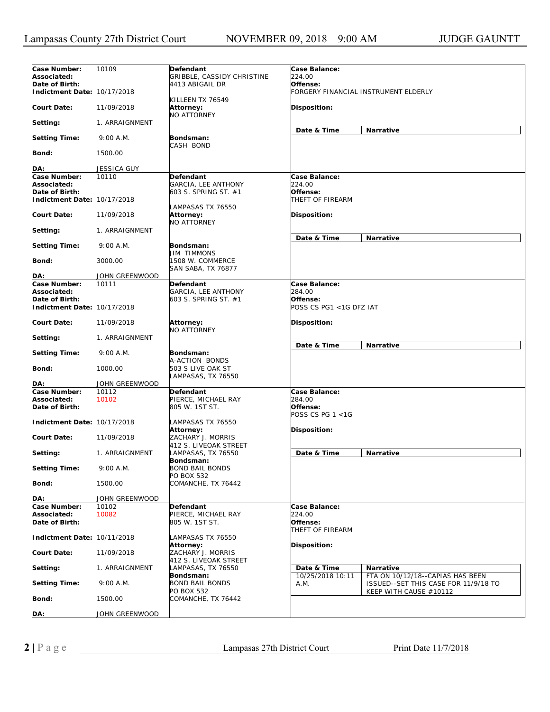| Case Number:                  | 10109                   | Defendant                                                | Case Balance:                             |                                                                |
|-------------------------------|-------------------------|----------------------------------------------------------|-------------------------------------------|----------------------------------------------------------------|
| Associated:                   |                         | GRIBBLE, CASSIDY CHRISTINE                               | 224.00                                    |                                                                |
| Date of Birth:                |                         | 4413 ABIGAIL DR                                          | Offense:                                  |                                                                |
| Indictment Date: 10/17/2018   |                         |                                                          |                                           | FORGERY FINANCIAL INSTRUMENT ELDERLY                           |
| <b>Court Date:</b>            | 11/09/2018              | KILLEEN TX 76549<br>Attorney:                            | Disposition:                              |                                                                |
| Setting:                      | 1. ARRAIGNMENT          | <b>NO ATTORNEY</b>                                       |                                           |                                                                |
| <b>Setting Time:</b>          | 9:00 A.M.               | Bondsman:                                                | Date & Time                               | Narrative                                                      |
| <b>Bond:</b>                  | 1500.00                 | CASH BOND                                                |                                           |                                                                |
|                               |                         |                                                          |                                           |                                                                |
| DA:<br>Case Number:           | JESSICA GUY<br>10110    | Defendant                                                | Case Balance:                             |                                                                |
| Associated:                   |                         | GARCIA, LEE ANTHONY                                      | 224.00                                    |                                                                |
| Date of Birth:                |                         | 603 S. SPRING ST. #1                                     | Offense:                                  |                                                                |
| Indictment Date: 10/17/2018   |                         |                                                          | THEFT OF FIREARM                          |                                                                |
|                               |                         | LAMPASAS TX 76550                                        |                                           |                                                                |
| <b>Court Date:</b>            | 11/09/2018              | Attorney:                                                | Disposition:                              |                                                                |
|                               |                         | <b>NO ATTORNEY</b>                                       |                                           |                                                                |
| Setting:                      | 1. ARRAIGNMENT          |                                                          | Date & Time                               | Narrative                                                      |
| <b>Setting Time:</b>          | 9:00 A.M.               | Bondsman:                                                |                                           |                                                                |
|                               |                         | JIM TIMMONS                                              |                                           |                                                                |
| Bond:                         | 3000.00                 | 1508 W. COMMERCE                                         |                                           |                                                                |
|                               |                         | SAN SABA, TX 76877                                       |                                           |                                                                |
| DA:<br>Case Number:           | JOHN GREENWOOD<br>10111 | Defendant                                                | Case Balance:                             |                                                                |
| Associated:                   |                         | GARCIA, LEE ANTHONY                                      | 284.00                                    |                                                                |
| Date of Birth:                |                         | 603 S. SPRING ST. #1                                     | Offense:                                  |                                                                |
| Indictment Date: 10/17/2018   |                         |                                                          | POSS CS PG1 <1G DFZ IAT                   |                                                                |
| <b>Court Date:</b>            | 11/09/2018              | <b>Attorney:</b><br>NO ATTORNEY                          | Disposition:                              |                                                                |
| Setting:                      | 1. ARRAIGNMENT          |                                                          |                                           |                                                                |
| <b>Setting Time:</b>          | 9:00 A.M.               | Bondsman:                                                | Date & Time                               | Narrative                                                      |
| <b>Bond:</b>                  | 1000.00                 | A-ACTION BONDS<br>503 S LIVE OAK ST                      |                                           |                                                                |
| DA:                           | JOHN GREENWOOD          | LAMPASAS, TX 76550                                       |                                           |                                                                |
| Case Number:                  | 10112                   | Defendant                                                | Case Balance:                             |                                                                |
| Associated:<br>Date of Birth: | 10102                   | PIERCE, MICHAEL RAY<br>805 W. 1ST ST.                    | 284.00<br>Offense:<br>POSS CS PG $1 < 1G$ |                                                                |
| Indictment Date: 10/17/2018   |                         | LAMPASAS TX 76550<br>Attorney:                           | Disposition:                              |                                                                |
| <b>Court Date:</b>            | 11/09/2018              | ZACHARY J. MORRIS                                        |                                           |                                                                |
| Setting:                      | 1. ARRAIGNMENT          | 412 S. LIVEOAK STREET<br>LAMPASAS, TX 76550              | Date & Time                               | Narrative                                                      |
| <b>Setting Time:</b>          | 9:00 A.M.               | Bondsman:<br><b>BOND BAIL BONDS</b>                      |                                           |                                                                |
| <b>Bond:</b>                  | 1500.00                 | PO BOX 532<br>COMANCHE, TX 76442                         |                                           |                                                                |
| DA:                           | JOHN GREENWOOD          |                                                          |                                           |                                                                |
| Case Number:                  | 10102                   | Defendant                                                | Case Balance:                             |                                                                |
| Associated:<br>Date of Birth: | 10082                   | PIERCE, MICHAEL RAY<br>805 W. 1ST ST.                    | 224.00<br>Offense:<br>THEFT OF FIREARM    |                                                                |
| Indictment Date: 10/11/2018   |                         | LAMPASAS TX 76550<br>Attorney:                           | Disposition:                              |                                                                |
| <b>Court Date:</b>            | 11/09/2018              | ZACHARY J. MORRIS                                        |                                           |                                                                |
| Setting:                      | 1. ARRAIGNMENT          | 412 S. LIVEOAK STREET<br>LAMPASAS, TX 76550<br>Bondsman: | Date & Time<br>10/25/2018 10:11           | <b>Narrative</b><br>FTA ON 10/12/18--CAPIAS HAS BEEN           |
| <b>Setting Time:</b>          | 9:00 A.M.               | BOND BAIL BONDS<br>PO BOX 532                            | A.M.                                      | ISSUED--SET THIS CASE FOR 11/9/18 TO<br>KEEP WITH CAUSE #10112 |
| Bond:                         | 1500.00                 | COMANCHE, TX 76442                                       |                                           |                                                                |
| DA:                           | JOHN GREENWOOD          |                                                          |                                           |                                                                |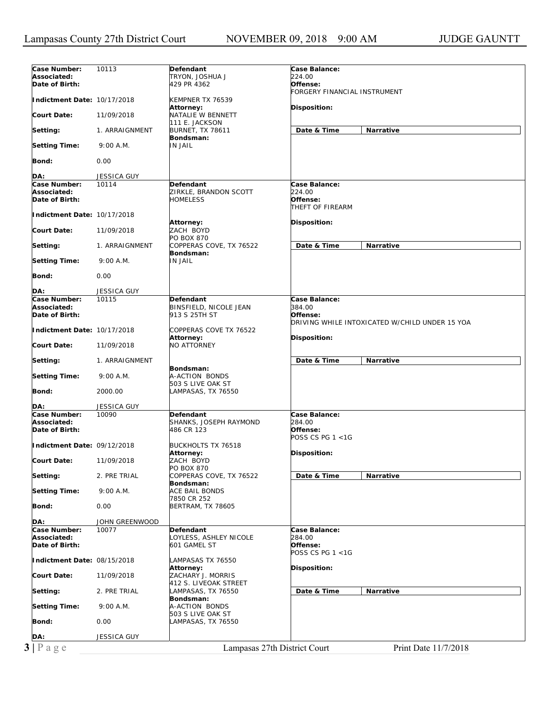| Case Number:                                  | 10113              | Defendant                    | Case Balance:                |                                                |
|-----------------------------------------------|--------------------|------------------------------|------------------------------|------------------------------------------------|
| Associated:                                   |                    | TRYON, JOSHUA J              | 224.00                       |                                                |
|                                               |                    |                              |                              |                                                |
| Date of Birth:                                |                    | 429 PR 4362                  | Offense:                     |                                                |
|                                               |                    |                              | FORGERY FINANCIAL INSTRUMENT |                                                |
| Indictment Date: 10/17/2018                   |                    | KEMPNER TX 76539             |                              |                                                |
|                                               |                    | Attorney:                    | <b>Disposition:</b>          |                                                |
| <b>Court Date:</b>                            | 11/09/2018         | NATALIE W BENNETT            |                              |                                                |
|                                               |                    | 111 E. JACKSON               |                              |                                                |
|                                               |                    |                              |                              |                                                |
| Setting:                                      | 1. ARRAIGNMENT     | <b>BURNET, TX 78611</b>      | Date & Time                  | Narrative                                      |
|                                               |                    | Bondsman:                    |                              |                                                |
| <b>Setting Time:</b>                          | 9:00 A.M.          | <b>IN JAIL</b>               |                              |                                                |
|                                               |                    |                              |                              |                                                |
| Bond:                                         | 0.00               |                              |                              |                                                |
|                                               |                    |                              |                              |                                                |
|                                               |                    |                              |                              |                                                |
| DA:                                           | JESSICA GUY        |                              |                              |                                                |
| Case Number:                                  | 10114              | <b>Defendant</b>             | Case Balance:                |                                                |
| Associated:                                   |                    | ZIRKLE, BRANDON SCOTT        | 224.00                       |                                                |
| Date of Birth:                                |                    | <b>HOMELESS</b>              | Offense:                     |                                                |
|                                               |                    |                              |                              |                                                |
|                                               |                    |                              | THEFT OF FIREARM             |                                                |
| Indictment Date: 10/17/2018                   |                    |                              |                              |                                                |
|                                               |                    | Attorney:                    | Disposition:                 |                                                |
| <b>Court Date:</b>                            | 11/09/2018         | ZACH BOYD                    |                              |                                                |
|                                               |                    | <b>PO BOX 870</b>            |                              |                                                |
|                                               |                    |                              | Date & Time                  |                                                |
| Setting:                                      | 1. ARRAIGNMENT     | COPPERAS COVE, TX 76522      |                              | Narrative                                      |
|                                               |                    | Bondsman:                    |                              |                                                |
| <b>Setting Time:</b>                          | 9:00 A.M.          | <b>IN JAIL</b>               |                              |                                                |
|                                               |                    |                              |                              |                                                |
| Bond:                                         | 0.00               |                              |                              |                                                |
|                                               |                    |                              |                              |                                                |
|                                               |                    |                              |                              |                                                |
| DA:                                           | <b>JESSICA GUY</b> |                              |                              |                                                |
| Case Number:                                  | 10115              | Defendant                    | Case Balance:                |                                                |
| Associated:                                   |                    | BINSFIELD, NICOLE JEAN       | 384.00                       |                                                |
| Date of Birth:                                |                    | 913 S 25TH ST                | Offense:                     |                                                |
|                                               |                    |                              |                              |                                                |
|                                               |                    |                              |                              | DRIVING WHILE INTOXICATED W/CHILD UNDER 15 YOA |
| Indictment Date: 10/17/2018                   |                    | COPPERAS COVE TX 76522       |                              |                                                |
|                                               |                    | Attorney:                    | Disposition:                 |                                                |
| <b>Court Date:</b>                            | 11/09/2018         | <b>NO ATTORNEY</b>           |                              |                                                |
|                                               |                    |                              |                              |                                                |
|                                               |                    |                              | Date & Time                  | Narrative                                      |
| Setting:                                      | 1. ARRAIGNMENT     |                              |                              |                                                |
|                                               |                    | Bondsman:                    |                              |                                                |
| <b>Setting Time:</b>                          | 9:00 A.M.          | A-ACTION BONDS               |                              |                                                |
|                                               |                    | 503 S LIVE OAK ST            |                              |                                                |
| Bond:                                         | 2000.00            | LAMPASAS, TX 76550           |                              |                                                |
|                                               |                    |                              |                              |                                                |
| DA:                                           | JESSICA GUY        |                              |                              |                                                |
|                                               |                    |                              |                              |                                                |
| Case Number:                                  | 10090              | Defendant                    | Case Balance:                |                                                |
| Associated:                                   |                    | SHANKS, JOSEPH RAYMOND       | 284.00                       |                                                |
| Date of Birth:                                |                    | 486 CR 123                   | Offense:                     |                                                |
|                                               |                    |                              | POSS CS PG $1 < 1G$          |                                                |
| Indictment Date: 09/12/2018                   |                    |                              |                              |                                                |
|                                               |                    | <b>BUCKHOLTS TX 76518</b>    |                              |                                                |
|                                               |                    | Attorney:                    | Disposition:                 |                                                |
| <b>Court Date:</b>                            | 11/09/2018         | ZACH BOYD                    |                              |                                                |
|                                               |                    | PO BOX 870                   |                              |                                                |
| Setting:                                      | 2. PRE TRIAL       | COPPERAS COVE, TX 76522      | Date & Time                  | Narrative                                      |
|                                               |                    | Bondsman:                    |                              |                                                |
|                                               |                    |                              |                              |                                                |
| <b>Setting Time:</b>                          | 9:00 A.M.          | <b>ACE BAIL BONDS</b>        |                              |                                                |
|                                               |                    | 7850 CR 252                  |                              |                                                |
| Bond:                                         | 0.00               | <b>BERTRAM, TX 78605</b>     |                              |                                                |
|                                               |                    |                              |                              |                                                |
| DA:                                           | JOHN GREENWOOD     |                              |                              |                                                |
|                                               |                    |                              | Case Balance:                |                                                |
|                                               |                    |                              |                              |                                                |
| Case Number:                                  | 10077              | Defendant                    |                              |                                                |
| Associated:                                   |                    | LOYLESS, ASHLEY NICOLE       | 284.00                       |                                                |
|                                               |                    | 601 GAMEL ST                 | Offense:                     |                                                |
|                                               |                    |                              | POSS CS PG 1 <1G             |                                                |
|                                               |                    |                              |                              |                                                |
| Date of Birth:<br>Indictment Date: 08/15/2018 |                    | LAMPASAS TX 76550            |                              |                                                |
|                                               |                    | Attorney:                    | Disposition:                 |                                                |
|                                               | 11/09/2018         | ZACHARY J. MORRIS            |                              |                                                |
|                                               |                    | 412 S. LIVEOAK STREET        |                              |                                                |
| <b>Court Date:</b><br>Setting:                | 2. PRE TRIAL       | LAMPASAS, TX 76550           |                              | Narrative                                      |
|                                               |                    |                              | Date & Time                  |                                                |
|                                               |                    | Bondsman:                    |                              |                                                |
| <b>Setting Time:</b>                          | 9:00 A.M.          | A-ACTION BONDS               |                              |                                                |
|                                               |                    | 503 S LIVE OAK ST            |                              |                                                |
| Bond:                                         | 0.00               | LAMPASAS, TX 76550           |                              |                                                |
|                                               |                    |                              |                              |                                                |
|                                               |                    |                              |                              |                                                |
| DA:                                           | JESSICA GUY        |                              |                              |                                                |
| $3 P \text{ age}$                             |                    | Lampasas 27th District Court |                              | Print Date 11/7/2018                           |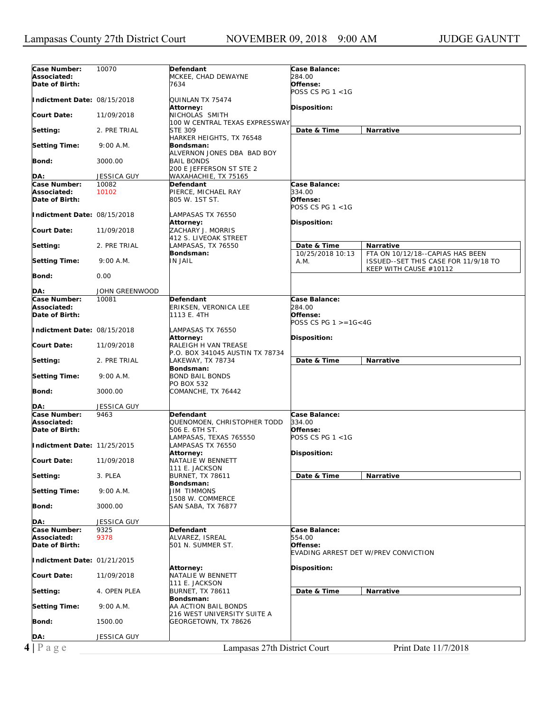| Case Number:<br>10070<br>Defendant<br><b>Case Balance:</b><br>Associated:<br>MCKEE, CHAD DEWAYNE<br>284.00<br>Date of Birth:<br>Offense:<br>7634<br>POSS CS PG $1 < 1$ G<br>Indictment Date: 08/15/2018<br>QUINLAN TX 75474<br>Attorney:<br>Disposition:<br><b>Court Date:</b><br>11/09/2018<br>NICHOLAS SMITH<br>100 W CENTRAL TEXAS EXPRESSWAY<br>Date & Time<br><b>STE 309</b><br>Narrative<br>Setting:<br>2. PRE TRIAL<br>HARKER HEIGHTS, TX 76548<br><b>Setting Time:</b><br>9:00 A.M.<br>Bondsman:<br>ALVERNON JONES DBA BAD BOY<br>Bond:<br>3000.00<br><b>BAIL BONDS</b><br>200 E JEFFERSON ST STE 2<br>DA:<br>WAXAHACHIE, TX 75165<br>JESSICA GUY<br>Case Balance:<br>Case Number:<br>10082<br>Defendant<br>334.00<br>Associated:<br>10102<br>PIERCE, MICHAEL RAY<br>Date of Birth:<br>805 W. 1ST ST.<br>Offense:<br>POSS CS PG $1 < 1G$<br>Indictment Date: 08/15/2018<br>LAMPASAS TX 76550<br>Attorney:<br>Disposition:<br><b>Court Date:</b><br>ZACHARY J. MORRIS<br>11/09/2018<br>412 S. LIVEOAK STREET<br>Date & Time<br>Setting:<br>2. PRE TRIAL<br>LAMPASAS, TX 76550<br>Narrative<br>Bondsman:<br>10/25/2018 10:13<br>FTA ON 10/12/18--CAPIAS HAS BEEN<br><b>Setting Time:</b><br><b>IN JAIL</b><br>9:00 A.M.<br>A.M.<br>ISSUED--SET THIS CASE FOR 11/9/18 TO<br>KEEP WITH CAUSE #10112<br>Bond:<br>0.00<br>DA:<br>JOHN GREENWOOD<br>Case Number:<br>10081<br>Case Balance:<br>Defendant<br>284.00<br>Associated:<br>ERIKSEN, VERONICA LEE<br>Offense:<br>Date of Birth:<br>1113 E. 4TH<br>POSS CS PG $1 > = 16 < 4G$<br>Indictment Date: 08/15/2018<br>LAMPASAS TX 76550<br>Disposition:<br>Attorney:<br>RALEIGH H VAN TREASE<br><b>Court Date:</b><br>11/09/2018<br>P.O. BOX 341045 AUSTIN TX 78734<br>Date & Time<br>Setting:<br>2. PRE TRIAL<br>LAKEWAY, TX 78734<br>Narrative<br>Bondsman:<br><b>Setting Time:</b><br><b>BOND BAIL BONDS</b><br>9:00 A.M.<br>PO BOX 532<br>Bond:<br>3000.00<br>COMANCHE, TX 76442<br>JESSICA GUY<br>DA:<br>Case Number:<br>Case Balance:<br>9463<br>Defendant<br>Associated:<br>334.00<br>QUENOMOEN, CHRISTOPHER TODD<br>Offense:<br>Date of Birth:<br>506 E. 6TH ST.<br>POSS CS PG $1 < 1G$<br>LAMPASAS, TEXAS 765550<br>Indictment Date: 11/25/2015<br>LAMPASAS TX 76550<br>Attorney:<br>Disposition:<br>NATALIE W BENNETT<br><b>Court Date:</b><br>11/09/2018<br>111 E. JACKSON<br><b>BURNET, TX 78611</b><br>Date & Time<br>Setting:<br>3. PLEA<br>Narrative<br>Bondsman:<br><b>JIM TIMMONS</b><br><b>Setting Time:</b><br>9:00 A.M.<br>1508 W. COMMERCE<br>Bond:<br>3000.00<br>SAN SABA, TX 76877<br>DA:<br>JESSICA GUY<br>Case Number:<br>Case Balance:<br>9325<br>Defendant<br>Associated:<br>9378<br>ALVAREZ, ISREAL<br>554.00<br>Date of Birth:<br>501 N. SUMMER ST.<br>Offense:<br>EVADING ARREST DET W/PREV CONVICTION<br>Indictment Date: 01/21/2015<br>Disposition:<br>Attorney:<br>NATALIE W BENNETT<br><b>Court Date:</b><br>11/09/2018<br>111 E. JACKSON<br>Date & Time<br>Narrative<br>Setting:<br>4. OPEN PLEA<br><b>BURNET, TX 78611</b><br>Bondsman:<br><b>Setting Time:</b><br>9:00 A.M.<br>AA ACTION BAIL BONDS<br>216 WEST UNIVERSITY SUITE A<br>Bond:<br>1500.00<br>GEORGETOWN, TX 78626<br>DA:<br><b>JESSICA GUY</b> |           |                              |                      |
|----------------------------------------------------------------------------------------------------------------------------------------------------------------------------------------------------------------------------------------------------------------------------------------------------------------------------------------------------------------------------------------------------------------------------------------------------------------------------------------------------------------------------------------------------------------------------------------------------------------------------------------------------------------------------------------------------------------------------------------------------------------------------------------------------------------------------------------------------------------------------------------------------------------------------------------------------------------------------------------------------------------------------------------------------------------------------------------------------------------------------------------------------------------------------------------------------------------------------------------------------------------------------------------------------------------------------------------------------------------------------------------------------------------------------------------------------------------------------------------------------------------------------------------------------------------------------------------------------------------------------------------------------------------------------------------------------------------------------------------------------------------------------------------------------------------------------------------------------------------------------------------------------------------------------------------------------------------------------------------------------------------------------------------------------------------------------------------------------------------------------------------------------------------------------------------------------------------------------------------------------------------------------------------------------------------------------------------------------------------------------------------------------------------------------------------------------------------------------------------------------------------------------------------------------------------------------------------------------------------------------------------------------------------------------------------------------------------------------------------------------------------------------------------------------------------------------------------------------------------------------------------------------------------------------------------------------------------------------------------------------------------------------------------------------------------------------------------------------------------------------------------------------------------------------------------------------|-----------|------------------------------|----------------------|
|                                                                                                                                                                                                                                                                                                                                                                                                                                                                                                                                                                                                                                                                                                                                                                                                                                                                                                                                                                                                                                                                                                                                                                                                                                                                                                                                                                                                                                                                                                                                                                                                                                                                                                                                                                                                                                                                                                                                                                                                                                                                                                                                                                                                                                                                                                                                                                                                                                                                                                                                                                                                                                                                                                                                                                                                                                                                                                                                                                                                                                                                                                                                                                                                    |           |                              |                      |
|                                                                                                                                                                                                                                                                                                                                                                                                                                                                                                                                                                                                                                                                                                                                                                                                                                                                                                                                                                                                                                                                                                                                                                                                                                                                                                                                                                                                                                                                                                                                                                                                                                                                                                                                                                                                                                                                                                                                                                                                                                                                                                                                                                                                                                                                                                                                                                                                                                                                                                                                                                                                                                                                                                                                                                                                                                                                                                                                                                                                                                                                                                                                                                                                    |           |                              |                      |
|                                                                                                                                                                                                                                                                                                                                                                                                                                                                                                                                                                                                                                                                                                                                                                                                                                                                                                                                                                                                                                                                                                                                                                                                                                                                                                                                                                                                                                                                                                                                                                                                                                                                                                                                                                                                                                                                                                                                                                                                                                                                                                                                                                                                                                                                                                                                                                                                                                                                                                                                                                                                                                                                                                                                                                                                                                                                                                                                                                                                                                                                                                                                                                                                    |           |                              |                      |
|                                                                                                                                                                                                                                                                                                                                                                                                                                                                                                                                                                                                                                                                                                                                                                                                                                                                                                                                                                                                                                                                                                                                                                                                                                                                                                                                                                                                                                                                                                                                                                                                                                                                                                                                                                                                                                                                                                                                                                                                                                                                                                                                                                                                                                                                                                                                                                                                                                                                                                                                                                                                                                                                                                                                                                                                                                                                                                                                                                                                                                                                                                                                                                                                    |           |                              |                      |
|                                                                                                                                                                                                                                                                                                                                                                                                                                                                                                                                                                                                                                                                                                                                                                                                                                                                                                                                                                                                                                                                                                                                                                                                                                                                                                                                                                                                                                                                                                                                                                                                                                                                                                                                                                                                                                                                                                                                                                                                                                                                                                                                                                                                                                                                                                                                                                                                                                                                                                                                                                                                                                                                                                                                                                                                                                                                                                                                                                                                                                                                                                                                                                                                    |           |                              |                      |
|                                                                                                                                                                                                                                                                                                                                                                                                                                                                                                                                                                                                                                                                                                                                                                                                                                                                                                                                                                                                                                                                                                                                                                                                                                                                                                                                                                                                                                                                                                                                                                                                                                                                                                                                                                                                                                                                                                                                                                                                                                                                                                                                                                                                                                                                                                                                                                                                                                                                                                                                                                                                                                                                                                                                                                                                                                                                                                                                                                                                                                                                                                                                                                                                    |           |                              |                      |
|                                                                                                                                                                                                                                                                                                                                                                                                                                                                                                                                                                                                                                                                                                                                                                                                                                                                                                                                                                                                                                                                                                                                                                                                                                                                                                                                                                                                                                                                                                                                                                                                                                                                                                                                                                                                                                                                                                                                                                                                                                                                                                                                                                                                                                                                                                                                                                                                                                                                                                                                                                                                                                                                                                                                                                                                                                                                                                                                                                                                                                                                                                                                                                                                    |           |                              |                      |
|                                                                                                                                                                                                                                                                                                                                                                                                                                                                                                                                                                                                                                                                                                                                                                                                                                                                                                                                                                                                                                                                                                                                                                                                                                                                                                                                                                                                                                                                                                                                                                                                                                                                                                                                                                                                                                                                                                                                                                                                                                                                                                                                                                                                                                                                                                                                                                                                                                                                                                                                                                                                                                                                                                                                                                                                                                                                                                                                                                                                                                                                                                                                                                                                    |           |                              |                      |
|                                                                                                                                                                                                                                                                                                                                                                                                                                                                                                                                                                                                                                                                                                                                                                                                                                                                                                                                                                                                                                                                                                                                                                                                                                                                                                                                                                                                                                                                                                                                                                                                                                                                                                                                                                                                                                                                                                                                                                                                                                                                                                                                                                                                                                                                                                                                                                                                                                                                                                                                                                                                                                                                                                                                                                                                                                                                                                                                                                                                                                                                                                                                                                                                    |           |                              |                      |
|                                                                                                                                                                                                                                                                                                                                                                                                                                                                                                                                                                                                                                                                                                                                                                                                                                                                                                                                                                                                                                                                                                                                                                                                                                                                                                                                                                                                                                                                                                                                                                                                                                                                                                                                                                                                                                                                                                                                                                                                                                                                                                                                                                                                                                                                                                                                                                                                                                                                                                                                                                                                                                                                                                                                                                                                                                                                                                                                                                                                                                                                                                                                                                                                    |           |                              |                      |
|                                                                                                                                                                                                                                                                                                                                                                                                                                                                                                                                                                                                                                                                                                                                                                                                                                                                                                                                                                                                                                                                                                                                                                                                                                                                                                                                                                                                                                                                                                                                                                                                                                                                                                                                                                                                                                                                                                                                                                                                                                                                                                                                                                                                                                                                                                                                                                                                                                                                                                                                                                                                                                                                                                                                                                                                                                                                                                                                                                                                                                                                                                                                                                                                    |           |                              |                      |
|                                                                                                                                                                                                                                                                                                                                                                                                                                                                                                                                                                                                                                                                                                                                                                                                                                                                                                                                                                                                                                                                                                                                                                                                                                                                                                                                                                                                                                                                                                                                                                                                                                                                                                                                                                                                                                                                                                                                                                                                                                                                                                                                                                                                                                                                                                                                                                                                                                                                                                                                                                                                                                                                                                                                                                                                                                                                                                                                                                                                                                                                                                                                                                                                    |           |                              |                      |
|                                                                                                                                                                                                                                                                                                                                                                                                                                                                                                                                                                                                                                                                                                                                                                                                                                                                                                                                                                                                                                                                                                                                                                                                                                                                                                                                                                                                                                                                                                                                                                                                                                                                                                                                                                                                                                                                                                                                                                                                                                                                                                                                                                                                                                                                                                                                                                                                                                                                                                                                                                                                                                                                                                                                                                                                                                                                                                                                                                                                                                                                                                                                                                                                    |           |                              |                      |
|                                                                                                                                                                                                                                                                                                                                                                                                                                                                                                                                                                                                                                                                                                                                                                                                                                                                                                                                                                                                                                                                                                                                                                                                                                                                                                                                                                                                                                                                                                                                                                                                                                                                                                                                                                                                                                                                                                                                                                                                                                                                                                                                                                                                                                                                                                                                                                                                                                                                                                                                                                                                                                                                                                                                                                                                                                                                                                                                                                                                                                                                                                                                                                                                    |           |                              |                      |
|                                                                                                                                                                                                                                                                                                                                                                                                                                                                                                                                                                                                                                                                                                                                                                                                                                                                                                                                                                                                                                                                                                                                                                                                                                                                                                                                                                                                                                                                                                                                                                                                                                                                                                                                                                                                                                                                                                                                                                                                                                                                                                                                                                                                                                                                                                                                                                                                                                                                                                                                                                                                                                                                                                                                                                                                                                                                                                                                                                                                                                                                                                                                                                                                    |           |                              |                      |
|                                                                                                                                                                                                                                                                                                                                                                                                                                                                                                                                                                                                                                                                                                                                                                                                                                                                                                                                                                                                                                                                                                                                                                                                                                                                                                                                                                                                                                                                                                                                                                                                                                                                                                                                                                                                                                                                                                                                                                                                                                                                                                                                                                                                                                                                                                                                                                                                                                                                                                                                                                                                                                                                                                                                                                                                                                                                                                                                                                                                                                                                                                                                                                                                    |           |                              |                      |
|                                                                                                                                                                                                                                                                                                                                                                                                                                                                                                                                                                                                                                                                                                                                                                                                                                                                                                                                                                                                                                                                                                                                                                                                                                                                                                                                                                                                                                                                                                                                                                                                                                                                                                                                                                                                                                                                                                                                                                                                                                                                                                                                                                                                                                                                                                                                                                                                                                                                                                                                                                                                                                                                                                                                                                                                                                                                                                                                                                                                                                                                                                                                                                                                    |           |                              |                      |
|                                                                                                                                                                                                                                                                                                                                                                                                                                                                                                                                                                                                                                                                                                                                                                                                                                                                                                                                                                                                                                                                                                                                                                                                                                                                                                                                                                                                                                                                                                                                                                                                                                                                                                                                                                                                                                                                                                                                                                                                                                                                                                                                                                                                                                                                                                                                                                                                                                                                                                                                                                                                                                                                                                                                                                                                                                                                                                                                                                                                                                                                                                                                                                                                    |           |                              |                      |
|                                                                                                                                                                                                                                                                                                                                                                                                                                                                                                                                                                                                                                                                                                                                                                                                                                                                                                                                                                                                                                                                                                                                                                                                                                                                                                                                                                                                                                                                                                                                                                                                                                                                                                                                                                                                                                                                                                                                                                                                                                                                                                                                                                                                                                                                                                                                                                                                                                                                                                                                                                                                                                                                                                                                                                                                                                                                                                                                                                                                                                                                                                                                                                                                    |           |                              |                      |
|                                                                                                                                                                                                                                                                                                                                                                                                                                                                                                                                                                                                                                                                                                                                                                                                                                                                                                                                                                                                                                                                                                                                                                                                                                                                                                                                                                                                                                                                                                                                                                                                                                                                                                                                                                                                                                                                                                                                                                                                                                                                                                                                                                                                                                                                                                                                                                                                                                                                                                                                                                                                                                                                                                                                                                                                                                                                                                                                                                                                                                                                                                                                                                                                    |           |                              |                      |
|                                                                                                                                                                                                                                                                                                                                                                                                                                                                                                                                                                                                                                                                                                                                                                                                                                                                                                                                                                                                                                                                                                                                                                                                                                                                                                                                                                                                                                                                                                                                                                                                                                                                                                                                                                                                                                                                                                                                                                                                                                                                                                                                                                                                                                                                                                                                                                                                                                                                                                                                                                                                                                                                                                                                                                                                                                                                                                                                                                                                                                                                                                                                                                                                    |           |                              |                      |
|                                                                                                                                                                                                                                                                                                                                                                                                                                                                                                                                                                                                                                                                                                                                                                                                                                                                                                                                                                                                                                                                                                                                                                                                                                                                                                                                                                                                                                                                                                                                                                                                                                                                                                                                                                                                                                                                                                                                                                                                                                                                                                                                                                                                                                                                                                                                                                                                                                                                                                                                                                                                                                                                                                                                                                                                                                                                                                                                                                                                                                                                                                                                                                                                    |           |                              |                      |
|                                                                                                                                                                                                                                                                                                                                                                                                                                                                                                                                                                                                                                                                                                                                                                                                                                                                                                                                                                                                                                                                                                                                                                                                                                                                                                                                                                                                                                                                                                                                                                                                                                                                                                                                                                                                                                                                                                                                                                                                                                                                                                                                                                                                                                                                                                                                                                                                                                                                                                                                                                                                                                                                                                                                                                                                                                                                                                                                                                                                                                                                                                                                                                                                    |           |                              |                      |
|                                                                                                                                                                                                                                                                                                                                                                                                                                                                                                                                                                                                                                                                                                                                                                                                                                                                                                                                                                                                                                                                                                                                                                                                                                                                                                                                                                                                                                                                                                                                                                                                                                                                                                                                                                                                                                                                                                                                                                                                                                                                                                                                                                                                                                                                                                                                                                                                                                                                                                                                                                                                                                                                                                                                                                                                                                                                                                                                                                                                                                                                                                                                                                                                    |           |                              |                      |
|                                                                                                                                                                                                                                                                                                                                                                                                                                                                                                                                                                                                                                                                                                                                                                                                                                                                                                                                                                                                                                                                                                                                                                                                                                                                                                                                                                                                                                                                                                                                                                                                                                                                                                                                                                                                                                                                                                                                                                                                                                                                                                                                                                                                                                                                                                                                                                                                                                                                                                                                                                                                                                                                                                                                                                                                                                                                                                                                                                                                                                                                                                                                                                                                    |           |                              |                      |
|                                                                                                                                                                                                                                                                                                                                                                                                                                                                                                                                                                                                                                                                                                                                                                                                                                                                                                                                                                                                                                                                                                                                                                                                                                                                                                                                                                                                                                                                                                                                                                                                                                                                                                                                                                                                                                                                                                                                                                                                                                                                                                                                                                                                                                                                                                                                                                                                                                                                                                                                                                                                                                                                                                                                                                                                                                                                                                                                                                                                                                                                                                                                                                                                    |           |                              |                      |
|                                                                                                                                                                                                                                                                                                                                                                                                                                                                                                                                                                                                                                                                                                                                                                                                                                                                                                                                                                                                                                                                                                                                                                                                                                                                                                                                                                                                                                                                                                                                                                                                                                                                                                                                                                                                                                                                                                                                                                                                                                                                                                                                                                                                                                                                                                                                                                                                                                                                                                                                                                                                                                                                                                                                                                                                                                                                                                                                                                                                                                                                                                                                                                                                    |           |                              |                      |
|                                                                                                                                                                                                                                                                                                                                                                                                                                                                                                                                                                                                                                                                                                                                                                                                                                                                                                                                                                                                                                                                                                                                                                                                                                                                                                                                                                                                                                                                                                                                                                                                                                                                                                                                                                                                                                                                                                                                                                                                                                                                                                                                                                                                                                                                                                                                                                                                                                                                                                                                                                                                                                                                                                                                                                                                                                                                                                                                                                                                                                                                                                                                                                                                    |           |                              |                      |
|                                                                                                                                                                                                                                                                                                                                                                                                                                                                                                                                                                                                                                                                                                                                                                                                                                                                                                                                                                                                                                                                                                                                                                                                                                                                                                                                                                                                                                                                                                                                                                                                                                                                                                                                                                                                                                                                                                                                                                                                                                                                                                                                                                                                                                                                                                                                                                                                                                                                                                                                                                                                                                                                                                                                                                                                                                                                                                                                                                                                                                                                                                                                                                                                    |           |                              |                      |
|                                                                                                                                                                                                                                                                                                                                                                                                                                                                                                                                                                                                                                                                                                                                                                                                                                                                                                                                                                                                                                                                                                                                                                                                                                                                                                                                                                                                                                                                                                                                                                                                                                                                                                                                                                                                                                                                                                                                                                                                                                                                                                                                                                                                                                                                                                                                                                                                                                                                                                                                                                                                                                                                                                                                                                                                                                                                                                                                                                                                                                                                                                                                                                                                    |           |                              |                      |
|                                                                                                                                                                                                                                                                                                                                                                                                                                                                                                                                                                                                                                                                                                                                                                                                                                                                                                                                                                                                                                                                                                                                                                                                                                                                                                                                                                                                                                                                                                                                                                                                                                                                                                                                                                                                                                                                                                                                                                                                                                                                                                                                                                                                                                                                                                                                                                                                                                                                                                                                                                                                                                                                                                                                                                                                                                                                                                                                                                                                                                                                                                                                                                                                    |           |                              |                      |
|                                                                                                                                                                                                                                                                                                                                                                                                                                                                                                                                                                                                                                                                                                                                                                                                                                                                                                                                                                                                                                                                                                                                                                                                                                                                                                                                                                                                                                                                                                                                                                                                                                                                                                                                                                                                                                                                                                                                                                                                                                                                                                                                                                                                                                                                                                                                                                                                                                                                                                                                                                                                                                                                                                                                                                                                                                                                                                                                                                                                                                                                                                                                                                                                    |           |                              |                      |
|                                                                                                                                                                                                                                                                                                                                                                                                                                                                                                                                                                                                                                                                                                                                                                                                                                                                                                                                                                                                                                                                                                                                                                                                                                                                                                                                                                                                                                                                                                                                                                                                                                                                                                                                                                                                                                                                                                                                                                                                                                                                                                                                                                                                                                                                                                                                                                                                                                                                                                                                                                                                                                                                                                                                                                                                                                                                                                                                                                                                                                                                                                                                                                                                    |           |                              |                      |
|                                                                                                                                                                                                                                                                                                                                                                                                                                                                                                                                                                                                                                                                                                                                                                                                                                                                                                                                                                                                                                                                                                                                                                                                                                                                                                                                                                                                                                                                                                                                                                                                                                                                                                                                                                                                                                                                                                                                                                                                                                                                                                                                                                                                                                                                                                                                                                                                                                                                                                                                                                                                                                                                                                                                                                                                                                                                                                                                                                                                                                                                                                                                                                                                    |           |                              |                      |
|                                                                                                                                                                                                                                                                                                                                                                                                                                                                                                                                                                                                                                                                                                                                                                                                                                                                                                                                                                                                                                                                                                                                                                                                                                                                                                                                                                                                                                                                                                                                                                                                                                                                                                                                                                                                                                                                                                                                                                                                                                                                                                                                                                                                                                                                                                                                                                                                                                                                                                                                                                                                                                                                                                                                                                                                                                                                                                                                                                                                                                                                                                                                                                                                    |           |                              |                      |
|                                                                                                                                                                                                                                                                                                                                                                                                                                                                                                                                                                                                                                                                                                                                                                                                                                                                                                                                                                                                                                                                                                                                                                                                                                                                                                                                                                                                                                                                                                                                                                                                                                                                                                                                                                                                                                                                                                                                                                                                                                                                                                                                                                                                                                                                                                                                                                                                                                                                                                                                                                                                                                                                                                                                                                                                                                                                                                                                                                                                                                                                                                                                                                                                    |           |                              |                      |
|                                                                                                                                                                                                                                                                                                                                                                                                                                                                                                                                                                                                                                                                                                                                                                                                                                                                                                                                                                                                                                                                                                                                                                                                                                                                                                                                                                                                                                                                                                                                                                                                                                                                                                                                                                                                                                                                                                                                                                                                                                                                                                                                                                                                                                                                                                                                                                                                                                                                                                                                                                                                                                                                                                                                                                                                                                                                                                                                                                                                                                                                                                                                                                                                    |           |                              |                      |
|                                                                                                                                                                                                                                                                                                                                                                                                                                                                                                                                                                                                                                                                                                                                                                                                                                                                                                                                                                                                                                                                                                                                                                                                                                                                                                                                                                                                                                                                                                                                                                                                                                                                                                                                                                                                                                                                                                                                                                                                                                                                                                                                                                                                                                                                                                                                                                                                                                                                                                                                                                                                                                                                                                                                                                                                                                                                                                                                                                                                                                                                                                                                                                                                    |           |                              |                      |
|                                                                                                                                                                                                                                                                                                                                                                                                                                                                                                                                                                                                                                                                                                                                                                                                                                                                                                                                                                                                                                                                                                                                                                                                                                                                                                                                                                                                                                                                                                                                                                                                                                                                                                                                                                                                                                                                                                                                                                                                                                                                                                                                                                                                                                                                                                                                                                                                                                                                                                                                                                                                                                                                                                                                                                                                                                                                                                                                                                                                                                                                                                                                                                                                    |           |                              |                      |
|                                                                                                                                                                                                                                                                                                                                                                                                                                                                                                                                                                                                                                                                                                                                                                                                                                                                                                                                                                                                                                                                                                                                                                                                                                                                                                                                                                                                                                                                                                                                                                                                                                                                                                                                                                                                                                                                                                                                                                                                                                                                                                                                                                                                                                                                                                                                                                                                                                                                                                                                                                                                                                                                                                                                                                                                                                                                                                                                                                                                                                                                                                                                                                                                    |           |                              |                      |
|                                                                                                                                                                                                                                                                                                                                                                                                                                                                                                                                                                                                                                                                                                                                                                                                                                                                                                                                                                                                                                                                                                                                                                                                                                                                                                                                                                                                                                                                                                                                                                                                                                                                                                                                                                                                                                                                                                                                                                                                                                                                                                                                                                                                                                                                                                                                                                                                                                                                                                                                                                                                                                                                                                                                                                                                                                                                                                                                                                                                                                                                                                                                                                                                    |           |                              |                      |
|                                                                                                                                                                                                                                                                                                                                                                                                                                                                                                                                                                                                                                                                                                                                                                                                                                                                                                                                                                                                                                                                                                                                                                                                                                                                                                                                                                                                                                                                                                                                                                                                                                                                                                                                                                                                                                                                                                                                                                                                                                                                                                                                                                                                                                                                                                                                                                                                                                                                                                                                                                                                                                                                                                                                                                                                                                                                                                                                                                                                                                                                                                                                                                                                    |           |                              |                      |
|                                                                                                                                                                                                                                                                                                                                                                                                                                                                                                                                                                                                                                                                                                                                                                                                                                                                                                                                                                                                                                                                                                                                                                                                                                                                                                                                                                                                                                                                                                                                                                                                                                                                                                                                                                                                                                                                                                                                                                                                                                                                                                                                                                                                                                                                                                                                                                                                                                                                                                                                                                                                                                                                                                                                                                                                                                                                                                                                                                                                                                                                                                                                                                                                    |           |                              |                      |
|                                                                                                                                                                                                                                                                                                                                                                                                                                                                                                                                                                                                                                                                                                                                                                                                                                                                                                                                                                                                                                                                                                                                                                                                                                                                                                                                                                                                                                                                                                                                                                                                                                                                                                                                                                                                                                                                                                                                                                                                                                                                                                                                                                                                                                                                                                                                                                                                                                                                                                                                                                                                                                                                                                                                                                                                                                                                                                                                                                                                                                                                                                                                                                                                    |           |                              |                      |
|                                                                                                                                                                                                                                                                                                                                                                                                                                                                                                                                                                                                                                                                                                                                                                                                                                                                                                                                                                                                                                                                                                                                                                                                                                                                                                                                                                                                                                                                                                                                                                                                                                                                                                                                                                                                                                                                                                                                                                                                                                                                                                                                                                                                                                                                                                                                                                                                                                                                                                                                                                                                                                                                                                                                                                                                                                                                                                                                                                                                                                                                                                                                                                                                    |           |                              |                      |
|                                                                                                                                                                                                                                                                                                                                                                                                                                                                                                                                                                                                                                                                                                                                                                                                                                                                                                                                                                                                                                                                                                                                                                                                                                                                                                                                                                                                                                                                                                                                                                                                                                                                                                                                                                                                                                                                                                                                                                                                                                                                                                                                                                                                                                                                                                                                                                                                                                                                                                                                                                                                                                                                                                                                                                                                                                                                                                                                                                                                                                                                                                                                                                                                    |           |                              |                      |
|                                                                                                                                                                                                                                                                                                                                                                                                                                                                                                                                                                                                                                                                                                                                                                                                                                                                                                                                                                                                                                                                                                                                                                                                                                                                                                                                                                                                                                                                                                                                                                                                                                                                                                                                                                                                                                                                                                                                                                                                                                                                                                                                                                                                                                                                                                                                                                                                                                                                                                                                                                                                                                                                                                                                                                                                                                                                                                                                                                                                                                                                                                                                                                                                    |           |                              |                      |
|                                                                                                                                                                                                                                                                                                                                                                                                                                                                                                                                                                                                                                                                                                                                                                                                                                                                                                                                                                                                                                                                                                                                                                                                                                                                                                                                                                                                                                                                                                                                                                                                                                                                                                                                                                                                                                                                                                                                                                                                                                                                                                                                                                                                                                                                                                                                                                                                                                                                                                                                                                                                                                                                                                                                                                                                                                                                                                                                                                                                                                                                                                                                                                                                    |           |                              |                      |
|                                                                                                                                                                                                                                                                                                                                                                                                                                                                                                                                                                                                                                                                                                                                                                                                                                                                                                                                                                                                                                                                                                                                                                                                                                                                                                                                                                                                                                                                                                                                                                                                                                                                                                                                                                                                                                                                                                                                                                                                                                                                                                                                                                                                                                                                                                                                                                                                                                                                                                                                                                                                                                                                                                                                                                                                                                                                                                                                                                                                                                                                                                                                                                                                    |           |                              |                      |
|                                                                                                                                                                                                                                                                                                                                                                                                                                                                                                                                                                                                                                                                                                                                                                                                                                                                                                                                                                                                                                                                                                                                                                                                                                                                                                                                                                                                                                                                                                                                                                                                                                                                                                                                                                                                                                                                                                                                                                                                                                                                                                                                                                                                                                                                                                                                                                                                                                                                                                                                                                                                                                                                                                                                                                                                                                                                                                                                                                                                                                                                                                                                                                                                    |           |                              |                      |
|                                                                                                                                                                                                                                                                                                                                                                                                                                                                                                                                                                                                                                                                                                                                                                                                                                                                                                                                                                                                                                                                                                                                                                                                                                                                                                                                                                                                                                                                                                                                                                                                                                                                                                                                                                                                                                                                                                                                                                                                                                                                                                                                                                                                                                                                                                                                                                                                                                                                                                                                                                                                                                                                                                                                                                                                                                                                                                                                                                                                                                                                                                                                                                                                    |           |                              |                      |
|                                                                                                                                                                                                                                                                                                                                                                                                                                                                                                                                                                                                                                                                                                                                                                                                                                                                                                                                                                                                                                                                                                                                                                                                                                                                                                                                                                                                                                                                                                                                                                                                                                                                                                                                                                                                                                                                                                                                                                                                                                                                                                                                                                                                                                                                                                                                                                                                                                                                                                                                                                                                                                                                                                                                                                                                                                                                                                                                                                                                                                                                                                                                                                                                    |           |                              |                      |
|                                                                                                                                                                                                                                                                                                                                                                                                                                                                                                                                                                                                                                                                                                                                                                                                                                                                                                                                                                                                                                                                                                                                                                                                                                                                                                                                                                                                                                                                                                                                                                                                                                                                                                                                                                                                                                                                                                                                                                                                                                                                                                                                                                                                                                                                                                                                                                                                                                                                                                                                                                                                                                                                                                                                                                                                                                                                                                                                                                                                                                                                                                                                                                                                    |           |                              |                      |
|                                                                                                                                                                                                                                                                                                                                                                                                                                                                                                                                                                                                                                                                                                                                                                                                                                                                                                                                                                                                                                                                                                                                                                                                                                                                                                                                                                                                                                                                                                                                                                                                                                                                                                                                                                                                                                                                                                                                                                                                                                                                                                                                                                                                                                                                                                                                                                                                                                                                                                                                                                                                                                                                                                                                                                                                                                                                                                                                                                                                                                                                                                                                                                                                    |           |                              |                      |
|                                                                                                                                                                                                                                                                                                                                                                                                                                                                                                                                                                                                                                                                                                                                                                                                                                                                                                                                                                                                                                                                                                                                                                                                                                                                                                                                                                                                                                                                                                                                                                                                                                                                                                                                                                                                                                                                                                                                                                                                                                                                                                                                                                                                                                                                                                                                                                                                                                                                                                                                                                                                                                                                                                                                                                                                                                                                                                                                                                                                                                                                                                                                                                                                    |           |                              |                      |
|                                                                                                                                                                                                                                                                                                                                                                                                                                                                                                                                                                                                                                                                                                                                                                                                                                                                                                                                                                                                                                                                                                                                                                                                                                                                                                                                                                                                                                                                                                                                                                                                                                                                                                                                                                                                                                                                                                                                                                                                                                                                                                                                                                                                                                                                                                                                                                                                                                                                                                                                                                                                                                                                                                                                                                                                                                                                                                                                                                                                                                                                                                                                                                                                    |           |                              |                      |
|                                                                                                                                                                                                                                                                                                                                                                                                                                                                                                                                                                                                                                                                                                                                                                                                                                                                                                                                                                                                                                                                                                                                                                                                                                                                                                                                                                                                                                                                                                                                                                                                                                                                                                                                                                                                                                                                                                                                                                                                                                                                                                                                                                                                                                                                                                                                                                                                                                                                                                                                                                                                                                                                                                                                                                                                                                                                                                                                                                                                                                                                                                                                                                                                    |           |                              |                      |
|                                                                                                                                                                                                                                                                                                                                                                                                                                                                                                                                                                                                                                                                                                                                                                                                                                                                                                                                                                                                                                                                                                                                                                                                                                                                                                                                                                                                                                                                                                                                                                                                                                                                                                                                                                                                                                                                                                                                                                                                                                                                                                                                                                                                                                                                                                                                                                                                                                                                                                                                                                                                                                                                                                                                                                                                                                                                                                                                                                                                                                                                                                                                                                                                    |           |                              |                      |
|                                                                                                                                                                                                                                                                                                                                                                                                                                                                                                                                                                                                                                                                                                                                                                                                                                                                                                                                                                                                                                                                                                                                                                                                                                                                                                                                                                                                                                                                                                                                                                                                                                                                                                                                                                                                                                                                                                                                                                                                                                                                                                                                                                                                                                                                                                                                                                                                                                                                                                                                                                                                                                                                                                                                                                                                                                                                                                                                                                                                                                                                                                                                                                                                    |           |                              |                      |
|                                                                                                                                                                                                                                                                                                                                                                                                                                                                                                                                                                                                                                                                                                                                                                                                                                                                                                                                                                                                                                                                                                                                                                                                                                                                                                                                                                                                                                                                                                                                                                                                                                                                                                                                                                                                                                                                                                                                                                                                                                                                                                                                                                                                                                                                                                                                                                                                                                                                                                                                                                                                                                                                                                                                                                                                                                                                                                                                                                                                                                                                                                                                                                                                    |           |                              |                      |
|                                                                                                                                                                                                                                                                                                                                                                                                                                                                                                                                                                                                                                                                                                                                                                                                                                                                                                                                                                                                                                                                                                                                                                                                                                                                                                                                                                                                                                                                                                                                                                                                                                                                                                                                                                                                                                                                                                                                                                                                                                                                                                                                                                                                                                                                                                                                                                                                                                                                                                                                                                                                                                                                                                                                                                                                                                                                                                                                                                                                                                                                                                                                                                                                    |           |                              |                      |
|                                                                                                                                                                                                                                                                                                                                                                                                                                                                                                                                                                                                                                                                                                                                                                                                                                                                                                                                                                                                                                                                                                                                                                                                                                                                                                                                                                                                                                                                                                                                                                                                                                                                                                                                                                                                                                                                                                                                                                                                                                                                                                                                                                                                                                                                                                                                                                                                                                                                                                                                                                                                                                                                                                                                                                                                                                                                                                                                                                                                                                                                                                                                                                                                    |           |                              |                      |
|                                                                                                                                                                                                                                                                                                                                                                                                                                                                                                                                                                                                                                                                                                                                                                                                                                                                                                                                                                                                                                                                                                                                                                                                                                                                                                                                                                                                                                                                                                                                                                                                                                                                                                                                                                                                                                                                                                                                                                                                                                                                                                                                                                                                                                                                                                                                                                                                                                                                                                                                                                                                                                                                                                                                                                                                                                                                                                                                                                                                                                                                                                                                                                                                    |           |                              |                      |
|                                                                                                                                                                                                                                                                                                                                                                                                                                                                                                                                                                                                                                                                                                                                                                                                                                                                                                                                                                                                                                                                                                                                                                                                                                                                                                                                                                                                                                                                                                                                                                                                                                                                                                                                                                                                                                                                                                                                                                                                                                                                                                                                                                                                                                                                                                                                                                                                                                                                                                                                                                                                                                                                                                                                                                                                                                                                                                                                                                                                                                                                                                                                                                                                    |           |                              |                      |
|                                                                                                                                                                                                                                                                                                                                                                                                                                                                                                                                                                                                                                                                                                                                                                                                                                                                                                                                                                                                                                                                                                                                                                                                                                                                                                                                                                                                                                                                                                                                                                                                                                                                                                                                                                                                                                                                                                                                                                                                                                                                                                                                                                                                                                                                                                                                                                                                                                                                                                                                                                                                                                                                                                                                                                                                                                                                                                                                                                                                                                                                                                                                                                                                    |           |                              |                      |
|                                                                                                                                                                                                                                                                                                                                                                                                                                                                                                                                                                                                                                                                                                                                                                                                                                                                                                                                                                                                                                                                                                                                                                                                                                                                                                                                                                                                                                                                                                                                                                                                                                                                                                                                                                                                                                                                                                                                                                                                                                                                                                                                                                                                                                                                                                                                                                                                                                                                                                                                                                                                                                                                                                                                                                                                                                                                                                                                                                                                                                                                                                                                                                                                    |           |                              |                      |
|                                                                                                                                                                                                                                                                                                                                                                                                                                                                                                                                                                                                                                                                                                                                                                                                                                                                                                                                                                                                                                                                                                                                                                                                                                                                                                                                                                                                                                                                                                                                                                                                                                                                                                                                                                                                                                                                                                                                                                                                                                                                                                                                                                                                                                                                                                                                                                                                                                                                                                                                                                                                                                                                                                                                                                                                                                                                                                                                                                                                                                                                                                                                                                                                    |           |                              |                      |
|                                                                                                                                                                                                                                                                                                                                                                                                                                                                                                                                                                                                                                                                                                                                                                                                                                                                                                                                                                                                                                                                                                                                                                                                                                                                                                                                                                                                                                                                                                                                                                                                                                                                                                                                                                                                                                                                                                                                                                                                                                                                                                                                                                                                                                                                                                                                                                                                                                                                                                                                                                                                                                                                                                                                                                                                                                                                                                                                                                                                                                                                                                                                                                                                    |           |                              |                      |
|                                                                                                                                                                                                                                                                                                                                                                                                                                                                                                                                                                                                                                                                                                                                                                                                                                                                                                                                                                                                                                                                                                                                                                                                                                                                                                                                                                                                                                                                                                                                                                                                                                                                                                                                                                                                                                                                                                                                                                                                                                                                                                                                                                                                                                                                                                                                                                                                                                                                                                                                                                                                                                                                                                                                                                                                                                                                                                                                                                                                                                                                                                                                                                                                    |           |                              |                      |
|                                                                                                                                                                                                                                                                                                                                                                                                                                                                                                                                                                                                                                                                                                                                                                                                                                                                                                                                                                                                                                                                                                                                                                                                                                                                                                                                                                                                                                                                                                                                                                                                                                                                                                                                                                                                                                                                                                                                                                                                                                                                                                                                                                                                                                                                                                                                                                                                                                                                                                                                                                                                                                                                                                                                                                                                                                                                                                                                                                                                                                                                                                                                                                                                    |           |                              |                      |
|                                                                                                                                                                                                                                                                                                                                                                                                                                                                                                                                                                                                                                                                                                                                                                                                                                                                                                                                                                                                                                                                                                                                                                                                                                                                                                                                                                                                                                                                                                                                                                                                                                                                                                                                                                                                                                                                                                                                                                                                                                                                                                                                                                                                                                                                                                                                                                                                                                                                                                                                                                                                                                                                                                                                                                                                                                                                                                                                                                                                                                                                                                                                                                                                    |           |                              |                      |
|                                                                                                                                                                                                                                                                                                                                                                                                                                                                                                                                                                                                                                                                                                                                                                                                                                                                                                                                                                                                                                                                                                                                                                                                                                                                                                                                                                                                                                                                                                                                                                                                                                                                                                                                                                                                                                                                                                                                                                                                                                                                                                                                                                                                                                                                                                                                                                                                                                                                                                                                                                                                                                                                                                                                                                                                                                                                                                                                                                                                                                                                                                                                                                                                    |           |                              |                      |
|                                                                                                                                                                                                                                                                                                                                                                                                                                                                                                                                                                                                                                                                                                                                                                                                                                                                                                                                                                                                                                                                                                                                                                                                                                                                                                                                                                                                                                                                                                                                                                                                                                                                                                                                                                                                                                                                                                                                                                                                                                                                                                                                                                                                                                                                                                                                                                                                                                                                                                                                                                                                                                                                                                                                                                                                                                                                                                                                                                                                                                                                                                                                                                                                    |           |                              |                      |
|                                                                                                                                                                                                                                                                                                                                                                                                                                                                                                                                                                                                                                                                                                                                                                                                                                                                                                                                                                                                                                                                                                                                                                                                                                                                                                                                                                                                                                                                                                                                                                                                                                                                                                                                                                                                                                                                                                                                                                                                                                                                                                                                                                                                                                                                                                                                                                                                                                                                                                                                                                                                                                                                                                                                                                                                                                                                                                                                                                                                                                                                                                                                                                                                    |           |                              |                      |
|                                                                                                                                                                                                                                                                                                                                                                                                                                                                                                                                                                                                                                                                                                                                                                                                                                                                                                                                                                                                                                                                                                                                                                                                                                                                                                                                                                                                                                                                                                                                                                                                                                                                                                                                                                                                                                                                                                                                                                                                                                                                                                                                                                                                                                                                                                                                                                                                                                                                                                                                                                                                                                                                                                                                                                                                                                                                                                                                                                                                                                                                                                                                                                                                    |           |                              |                      |
|                                                                                                                                                                                                                                                                                                                                                                                                                                                                                                                                                                                                                                                                                                                                                                                                                                                                                                                                                                                                                                                                                                                                                                                                                                                                                                                                                                                                                                                                                                                                                                                                                                                                                                                                                                                                                                                                                                                                                                                                                                                                                                                                                                                                                                                                                                                                                                                                                                                                                                                                                                                                                                                                                                                                                                                                                                                                                                                                                                                                                                                                                                                                                                                                    |           |                              |                      |
|                                                                                                                                                                                                                                                                                                                                                                                                                                                                                                                                                                                                                                                                                                                                                                                                                                                                                                                                                                                                                                                                                                                                                                                                                                                                                                                                                                                                                                                                                                                                                                                                                                                                                                                                                                                                                                                                                                                                                                                                                                                                                                                                                                                                                                                                                                                                                                                                                                                                                                                                                                                                                                                                                                                                                                                                                                                                                                                                                                                                                                                                                                                                                                                                    |           |                              |                      |
|                                                                                                                                                                                                                                                                                                                                                                                                                                                                                                                                                                                                                                                                                                                                                                                                                                                                                                                                                                                                                                                                                                                                                                                                                                                                                                                                                                                                                                                                                                                                                                                                                                                                                                                                                                                                                                                                                                                                                                                                                                                                                                                                                                                                                                                                                                                                                                                                                                                                                                                                                                                                                                                                                                                                                                                                                                                                                                                                                                                                                                                                                                                                                                                                    |           |                              |                      |
|                                                                                                                                                                                                                                                                                                                                                                                                                                                                                                                                                                                                                                                                                                                                                                                                                                                                                                                                                                                                                                                                                                                                                                                                                                                                                                                                                                                                                                                                                                                                                                                                                                                                                                                                                                                                                                                                                                                                                                                                                                                                                                                                                                                                                                                                                                                                                                                                                                                                                                                                                                                                                                                                                                                                                                                                                                                                                                                                                                                                                                                                                                                                                                                                    |           |                              |                      |
|                                                                                                                                                                                                                                                                                                                                                                                                                                                                                                                                                                                                                                                                                                                                                                                                                                                                                                                                                                                                                                                                                                                                                                                                                                                                                                                                                                                                                                                                                                                                                                                                                                                                                                                                                                                                                                                                                                                                                                                                                                                                                                                                                                                                                                                                                                                                                                                                                                                                                                                                                                                                                                                                                                                                                                                                                                                                                                                                                                                                                                                                                                                                                                                                    |           |                              |                      |
|                                                                                                                                                                                                                                                                                                                                                                                                                                                                                                                                                                                                                                                                                                                                                                                                                                                                                                                                                                                                                                                                                                                                                                                                                                                                                                                                                                                                                                                                                                                                                                                                                                                                                                                                                                                                                                                                                                                                                                                                                                                                                                                                                                                                                                                                                                                                                                                                                                                                                                                                                                                                                                                                                                                                                                                                                                                                                                                                                                                                                                                                                                                                                                                                    |           |                              |                      |
|                                                                                                                                                                                                                                                                                                                                                                                                                                                                                                                                                                                                                                                                                                                                                                                                                                                                                                                                                                                                                                                                                                                                                                                                                                                                                                                                                                                                                                                                                                                                                                                                                                                                                                                                                                                                                                                                                                                                                                                                                                                                                                                                                                                                                                                                                                                                                                                                                                                                                                                                                                                                                                                                                                                                                                                                                                                                                                                                                                                                                                                                                                                                                                                                    |           |                              |                      |
|                                                                                                                                                                                                                                                                                                                                                                                                                                                                                                                                                                                                                                                                                                                                                                                                                                                                                                                                                                                                                                                                                                                                                                                                                                                                                                                                                                                                                                                                                                                                                                                                                                                                                                                                                                                                                                                                                                                                                                                                                                                                                                                                                                                                                                                                                                                                                                                                                                                                                                                                                                                                                                                                                                                                                                                                                                                                                                                                                                                                                                                                                                                                                                                                    |           |                              |                      |
|                                                                                                                                                                                                                                                                                                                                                                                                                                                                                                                                                                                                                                                                                                                                                                                                                                                                                                                                                                                                                                                                                                                                                                                                                                                                                                                                                                                                                                                                                                                                                                                                                                                                                                                                                                                                                                                                                                                                                                                                                                                                                                                                                                                                                                                                                                                                                                                                                                                                                                                                                                                                                                                                                                                                                                                                                                                                                                                                                                                                                                                                                                                                                                                                    |           |                              |                      |
|                                                                                                                                                                                                                                                                                                                                                                                                                                                                                                                                                                                                                                                                                                                                                                                                                                                                                                                                                                                                                                                                                                                                                                                                                                                                                                                                                                                                                                                                                                                                                                                                                                                                                                                                                                                                                                                                                                                                                                                                                                                                                                                                                                                                                                                                                                                                                                                                                                                                                                                                                                                                                                                                                                                                                                                                                                                                                                                                                                                                                                                                                                                                                                                                    |           |                              |                      |
|                                                                                                                                                                                                                                                                                                                                                                                                                                                                                                                                                                                                                                                                                                                                                                                                                                                                                                                                                                                                                                                                                                                                                                                                                                                                                                                                                                                                                                                                                                                                                                                                                                                                                                                                                                                                                                                                                                                                                                                                                                                                                                                                                                                                                                                                                                                                                                                                                                                                                                                                                                                                                                                                                                                                                                                                                                                                                                                                                                                                                                                                                                                                                                                                    |           |                              |                      |
|                                                                                                                                                                                                                                                                                                                                                                                                                                                                                                                                                                                                                                                                                                                                                                                                                                                                                                                                                                                                                                                                                                                                                                                                                                                                                                                                                                                                                                                                                                                                                                                                                                                                                                                                                                                                                                                                                                                                                                                                                                                                                                                                                                                                                                                                                                                                                                                                                                                                                                                                                                                                                                                                                                                                                                                                                                                                                                                                                                                                                                                                                                                                                                                                    |           |                              |                      |
|                                                                                                                                                                                                                                                                                                                                                                                                                                                                                                                                                                                                                                                                                                                                                                                                                                                                                                                                                                                                                                                                                                                                                                                                                                                                                                                                                                                                                                                                                                                                                                                                                                                                                                                                                                                                                                                                                                                                                                                                                                                                                                                                                                                                                                                                                                                                                                                                                                                                                                                                                                                                                                                                                                                                                                                                                                                                                                                                                                                                                                                                                                                                                                                                    |           |                              |                      |
|                                                                                                                                                                                                                                                                                                                                                                                                                                                                                                                                                                                                                                                                                                                                                                                                                                                                                                                                                                                                                                                                                                                                                                                                                                                                                                                                                                                                                                                                                                                                                                                                                                                                                                                                                                                                                                                                                                                                                                                                                                                                                                                                                                                                                                                                                                                                                                                                                                                                                                                                                                                                                                                                                                                                                                                                                                                                                                                                                                                                                                                                                                                                                                                                    |           |                              |                      |
|                                                                                                                                                                                                                                                                                                                                                                                                                                                                                                                                                                                                                                                                                                                                                                                                                                                                                                                                                                                                                                                                                                                                                                                                                                                                                                                                                                                                                                                                                                                                                                                                                                                                                                                                                                                                                                                                                                                                                                                                                                                                                                                                                                                                                                                                                                                                                                                                                                                                                                                                                                                                                                                                                                                                                                                                                                                                                                                                                                                                                                                                                                                                                                                                    |           |                              |                      |
|                                                                                                                                                                                                                                                                                                                                                                                                                                                                                                                                                                                                                                                                                                                                                                                                                                                                                                                                                                                                                                                                                                                                                                                                                                                                                                                                                                                                                                                                                                                                                                                                                                                                                                                                                                                                                                                                                                                                                                                                                                                                                                                                                                                                                                                                                                                                                                                                                                                                                                                                                                                                                                                                                                                                                                                                                                                                                                                                                                                                                                                                                                                                                                                                    |           |                              |                      |
|                                                                                                                                                                                                                                                                                                                                                                                                                                                                                                                                                                                                                                                                                                                                                                                                                                                                                                                                                                                                                                                                                                                                                                                                                                                                                                                                                                                                                                                                                                                                                                                                                                                                                                                                                                                                                                                                                                                                                                                                                                                                                                                                                                                                                                                                                                                                                                                                                                                                                                                                                                                                                                                                                                                                                                                                                                                                                                                                                                                                                                                                                                                                                                                                    |           |                              |                      |
|                                                                                                                                                                                                                                                                                                                                                                                                                                                                                                                                                                                                                                                                                                                                                                                                                                                                                                                                                                                                                                                                                                                                                                                                                                                                                                                                                                                                                                                                                                                                                                                                                                                                                                                                                                                                                                                                                                                                                                                                                                                                                                                                                                                                                                                                                                                                                                                                                                                                                                                                                                                                                                                                                                                                                                                                                                                                                                                                                                                                                                                                                                                                                                                                    |           |                              |                      |
|                                                                                                                                                                                                                                                                                                                                                                                                                                                                                                                                                                                                                                                                                                                                                                                                                                                                                                                                                                                                                                                                                                                                                                                                                                                                                                                                                                                                                                                                                                                                                                                                                                                                                                                                                                                                                                                                                                                                                                                                                                                                                                                                                                                                                                                                                                                                                                                                                                                                                                                                                                                                                                                                                                                                                                                                                                                                                                                                                                                                                                                                                                                                                                                                    |           |                              |                      |
|                                                                                                                                                                                                                                                                                                                                                                                                                                                                                                                                                                                                                                                                                                                                                                                                                                                                                                                                                                                                                                                                                                                                                                                                                                                                                                                                                                                                                                                                                                                                                                                                                                                                                                                                                                                                                                                                                                                                                                                                                                                                                                                                                                                                                                                                                                                                                                                                                                                                                                                                                                                                                                                                                                                                                                                                                                                                                                                                                                                                                                                                                                                                                                                                    |           |                              |                      |
|                                                                                                                                                                                                                                                                                                                                                                                                                                                                                                                                                                                                                                                                                                                                                                                                                                                                                                                                                                                                                                                                                                                                                                                                                                                                                                                                                                                                                                                                                                                                                                                                                                                                                                                                                                                                                                                                                                                                                                                                                                                                                                                                                                                                                                                                                                                                                                                                                                                                                                                                                                                                                                                                                                                                                                                                                                                                                                                                                                                                                                                                                                                                                                                                    |           |                              |                      |
|                                                                                                                                                                                                                                                                                                                                                                                                                                                                                                                                                                                                                                                                                                                                                                                                                                                                                                                                                                                                                                                                                                                                                                                                                                                                                                                                                                                                                                                                                                                                                                                                                                                                                                                                                                                                                                                                                                                                                                                                                                                                                                                                                                                                                                                                                                                                                                                                                                                                                                                                                                                                                                                                                                                                                                                                                                                                                                                                                                                                                                                                                                                                                                                                    |           |                              |                      |
|                                                                                                                                                                                                                                                                                                                                                                                                                                                                                                                                                                                                                                                                                                                                                                                                                                                                                                                                                                                                                                                                                                                                                                                                                                                                                                                                                                                                                                                                                                                                                                                                                                                                                                                                                                                                                                                                                                                                                                                                                                                                                                                                                                                                                                                                                                                                                                                                                                                                                                                                                                                                                                                                                                                                                                                                                                                                                                                                                                                                                                                                                                                                                                                                    |           |                              |                      |
|                                                                                                                                                                                                                                                                                                                                                                                                                                                                                                                                                                                                                                                                                                                                                                                                                                                                                                                                                                                                                                                                                                                                                                                                                                                                                                                                                                                                                                                                                                                                                                                                                                                                                                                                                                                                                                                                                                                                                                                                                                                                                                                                                                                                                                                                                                                                                                                                                                                                                                                                                                                                                                                                                                                                                                                                                                                                                                                                                                                                                                                                                                                                                                                                    | $4 P$ age | Lampasas 27th District Court | Print Date 11/7/2018 |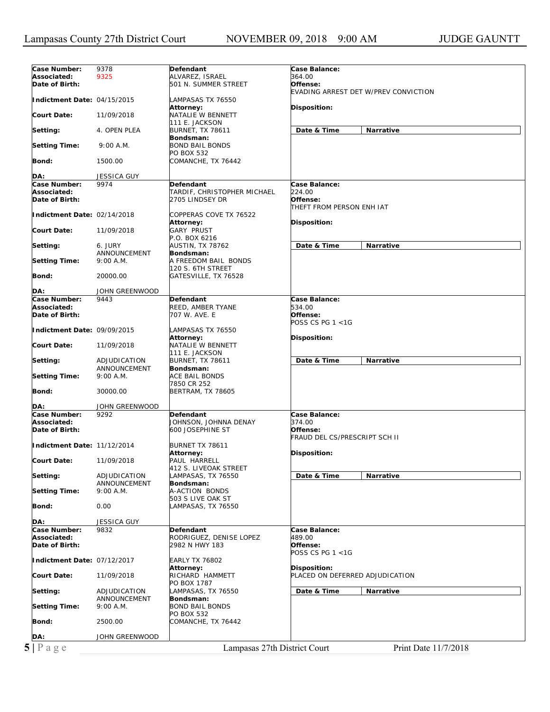| Case Number:                | 9378               | Defendant                    | Case Balance:                        |
|-----------------------------|--------------------|------------------------------|--------------------------------------|
| Associated:                 | 9325               | ALVAREZ, ISRAEL              | 364.00                               |
| Date of Birth:              |                    | 501 N. SUMMER STREET         | Offense:                             |
|                             |                    |                              | EVADING ARREST DET W/PREV CONVICTION |
| Indictment Date: 04/15/2015 |                    | LAMPASAS TX 76550            |                                      |
|                             |                    |                              |                                      |
|                             |                    | Attorney:                    | Disposition:                         |
| <b>Court Date:</b>          | 11/09/2018         | NATALIE W BENNETT            |                                      |
|                             |                    | 111 E. JACKSON               |                                      |
| Setting:                    | 4. OPEN PLEA       | <b>BURNET, TX 78611</b>      | Date & Time<br><b>Narrative</b>      |
|                             |                    | Bondsman:                    |                                      |
| <b>Setting Time:</b>        | 9:00 A.M.          | <b>BOND BAIL BONDS</b>       |                                      |
|                             |                    | PO BOX 532                   |                                      |
| Bond:                       | 1500.00            | COMANCHE, TX 76442           |                                      |
|                             |                    |                              |                                      |
| DA:                         | JESSICA GUY        |                              |                                      |
| Case Number:                | 9974               | Defendant                    | Case Balance:                        |
|                             |                    |                              |                                      |
| Associated:                 |                    | TARDIF, CHRISTOPHER MICHAEL  | 224.00                               |
| Date of Birth:              |                    | 2705 LINDSEY DR              | Offense:                             |
|                             |                    |                              | THEFT FROM PERSON ENH IAT            |
| Indictment Date: 02/14/2018 |                    | COPPERAS COVE TX 76522       |                                      |
|                             |                    | <b>Attorney:</b>             | <b>Disposition:</b>                  |
| <b>Court Date:</b>          | 11/09/2018         | <b>GARY PRUST</b>            |                                      |
|                             |                    | P.O. BOX 6216                |                                      |
| Setting:                    | 6. JURY            | <b>AUSTIN, TX 78762</b>      | Date & Time<br>Narrative             |
|                             | ANNOUNCEMENT       | Bondsman:                    |                                      |
| <b>Setting Time:</b>        | 9:00 A.M.          | A FREEDOM BAIL BONDS         |                                      |
|                             |                    |                              |                                      |
|                             |                    | 120 S. 6TH STREET            |                                      |
| Bond:                       | 20000.00           | GATESVILLE, TX 76528         |                                      |
|                             |                    |                              |                                      |
| DA:                         | JOHN GREENWOOD     |                              |                                      |
| Case Number:                | 9443               | Defendant                    | Case Balance:                        |
| Associated:                 |                    | REED, AMBER TYANE            | 534.00                               |
| Date of Birth:              |                    | 707 W. AVE. E                | Offense:                             |
|                             |                    |                              | POSS CS PG 1 <1G                     |
| Indictment Date: 09/09/2015 |                    | LAMPASAS TX 76550            |                                      |
|                             |                    |                              |                                      |
|                             |                    | <b>Attorney:</b>             | <b>Disposition:</b>                  |
| <b>Court Date:</b>          | 11/09/2018         | NATALIE W BENNETT            |                                      |
|                             |                    | 111 E. JACKSON               |                                      |
| Setting:                    | ADJUDICATION       | <b>BURNET, TX 78611</b>      | Date & Time<br>Narrative             |
|                             | ANNOUNCEMENT       | Bondsman:                    |                                      |
| <b>Setting Time:</b>        | 9:00 A.M.          | <b>ACE BAIL BONDS</b>        |                                      |
|                             |                    |                              |                                      |
|                             |                    |                              |                                      |
|                             |                    | 7850 CR 252                  |                                      |
| Bond:                       | 30000.00           | <b>BERTRAM, TX 78605</b>     |                                      |
|                             |                    |                              |                                      |
| DA:                         | JOHN GREENWOOD     |                              |                                      |
| Case Number:                | 9292               | Defendant                    | Case Balance:                        |
| Associated:                 |                    | JOHNSON, JOHNNA DENAY        | 374.00                               |
| Date of Birth:              |                    | 600 JOSEPHINE ST             | Offense:                             |
|                             |                    |                              | FRAUD DEL CS/PRESCRIPT SCH II        |
| Indictment Date: 11/12/2014 |                    | BURNET TX 78611              |                                      |
|                             |                    | Attorney:                    | Disposition:                         |
| <b>Court Date:</b>          | 11/09/2018         | PAUL HARRELL                 |                                      |
|                             |                    |                              |                                      |
|                             |                    | 412 S. LIVEOAK STREET        |                                      |
| Setting:                    | ADJUDICATION       | LAMPASAS, TX 76550           | Date & Time<br><b>Narrative</b>      |
|                             | ANNOUNCEMENT       | Bondsman:                    |                                      |
| <b>Setting Time:</b>        | 9:00 A.M.          | A-ACTION BONDS               |                                      |
|                             |                    | 503 S LIVE OAK ST            |                                      |
| Bond:                       | 0.00               | LAMPASAS, TX 76550           |                                      |
|                             |                    |                              |                                      |
| DA:                         | <b>JESSICA GUY</b> |                              |                                      |
| Case Number:                | 9832               | <b>Defendant</b>             | Case Balance:                        |
| Associated:                 |                    | RODRIGUEZ, DENISE LOPEZ      | 489.00                               |
| Date of Birth:              |                    | 2982 N HWY 183               | Offense:                             |
|                             |                    |                              | POSS CS PG 1 <1G                     |
|                             |                    |                              |                                      |
| Indictment Date: 07/12/2017 |                    | <b>EARLY TX 76802</b>        |                                      |
|                             |                    | Attorney:                    | Disposition:                         |
| <b>Court Date:</b>          | 11/09/2018         | RICHARD HAMMETT              | PLACED ON DEFERRED ADJUDICATION      |
|                             |                    | PO BOX 1787                  |                                      |
| Setting:                    | ADJUDICATION       | LAMPASAS, TX 76550           | Date & Time<br>Narrative             |
|                             | ANNOUNCEMENT       | Bondsman:                    |                                      |
| <b>Setting Time:</b>        | 9:00 A.M.          | <b>BOND BAIL BONDS</b>       |                                      |
|                             |                    | PO BOX 532                   |                                      |
| Bond:                       | 2500.00            | COMANCHE, TX 76442           |                                      |
|                             |                    |                              |                                      |
|                             |                    |                              |                                      |
| DA:<br>$5 P \text{ a } g e$ | JOHN GREENWOOD     | Lampasas 27th District Court | Print Date 11/7/2018                 |